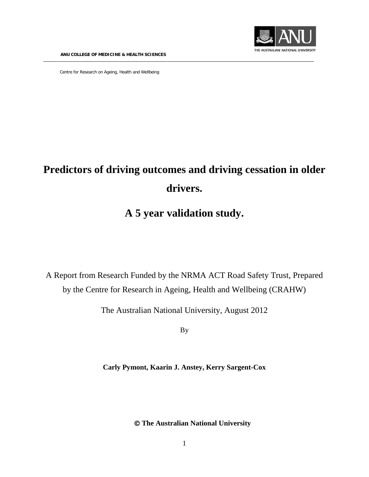

# **Predictors of driving outcomes and driving cessation in older drivers.**

## **A 5 year validation study.**

A Report from Research Funded by the NRMA ACT Road Safety Trust, Prepared by the Centre for Research in Ageing, Health and Wellbeing (CRAHW)

The Australian National University, August 2012

By

**Carly Pymont, Kaarin J. Anstey, Kerry Sargent-Cox**

**The Australian National University**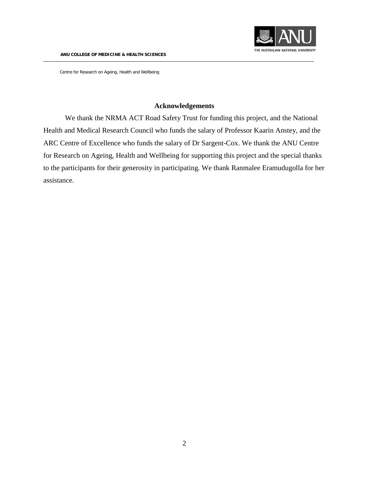

## **Acknowledgements**

We thank the NRMA ACT Road Safety Trust for funding this project, and the National Health and Medical Research Council who funds the salary of Professor Kaarin Anstey, and the ARC Centre of Excellence who funds the salary of Dr Sargent-Cox. We thank the ANU Centre for Research on Ageing, Health and Wellbeing for supporting this project and the special thanks to the participants for their generosity in participating. We thank Ranmalee Eramudugolla for her assistance.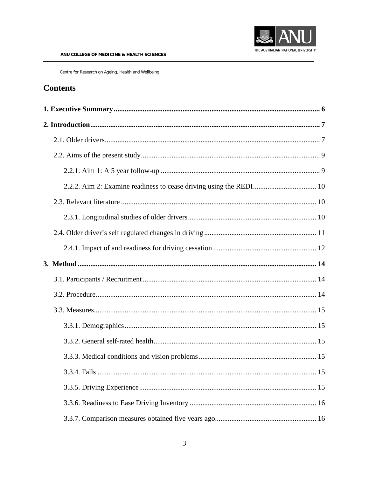

## **Contents**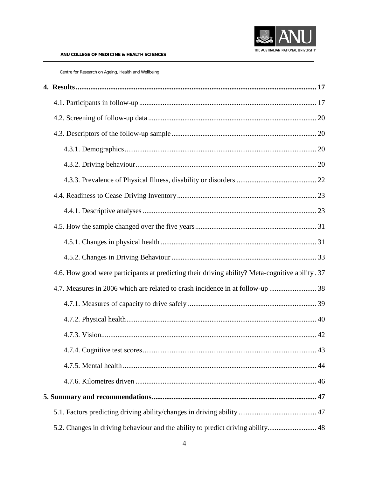

| 4.6. How good were participants at predicting their driving ability? Meta-cognitive ability. 37 |  |
|-------------------------------------------------------------------------------------------------|--|
| 4.7. Measures in 2006 which are related to crash incidence in at follow-up  38                  |  |
|                                                                                                 |  |
|                                                                                                 |  |
|                                                                                                 |  |
| 43                                                                                              |  |
|                                                                                                 |  |
|                                                                                                 |  |
|                                                                                                 |  |
|                                                                                                 |  |
| 5.2. Changes in driving behaviour and the ability to predict driving ability 48                 |  |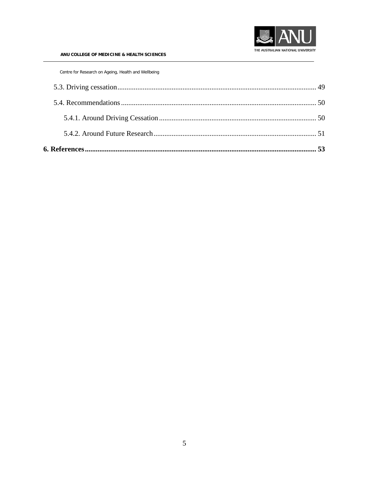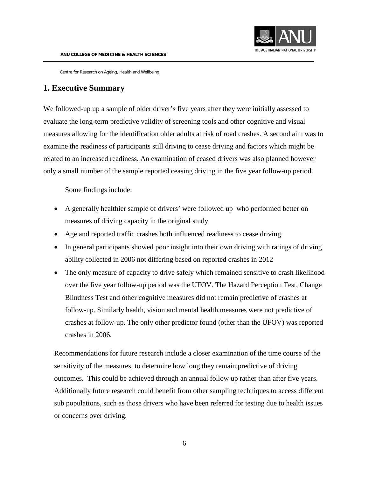

## <span id="page-5-0"></span>**1. Executive Summary**

We followed-up up a sample of older driver's five years after they were initially assessed to evaluate the long-term predictive validity of screening tools and other cognitive and visual measures allowing for the identification older adults at risk of road crashes. A second aim was to examine the readiness of participants still driving to cease driving and factors which might be related to an increased readiness. An examination of ceased drivers was also planned however only a small number of the sample reported ceasing driving in the five year follow-up period.

Some findings include:

- A generally healthier sample of drivers' were followed up who performed better on measures of driving capacity in the original study
- Age and reported traffic crashes both influenced readiness to cease driving
- In general participants showed poor insight into their own driving with ratings of driving ability collected in 2006 not differing based on reported crashes in 2012
- The only measure of capacity to drive safely which remained sensitive to crash likelihood over the five year follow-up period was the UFOV. The Hazard Perception Test, Change Blindness Test and other cognitive measures did not remain predictive of crashes at follow-up. Similarly health, vision and mental health measures were not predictive of crashes at follow-up. The only other predictor found (other than the UFOV) was reported crashes in 2006.

Recommendations for future research include a closer examination of the time course of the sensitivity of the measures, to determine how long they remain predictive of driving outcomes. This could be achieved through an annual follow up rather than after five years. Additionally future research could benefit from other sampling techniques to access different sub populations, such as those drivers who have been referred for testing due to health issues or concerns over driving.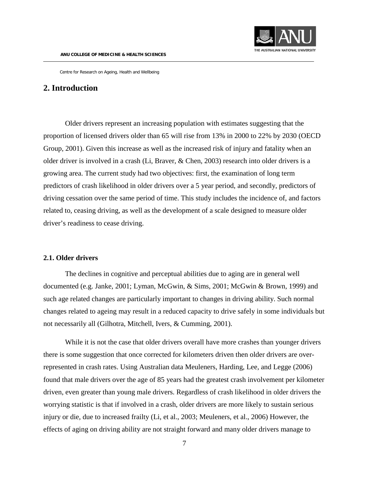

## <span id="page-6-0"></span>**2. Introduction**

Older drivers represent an increasing population with estimates suggesting that the proportion of licensed drivers older than 65 will rise from 13% in 2000 to 22% by 2030 [\(OECD](#page-54-0) [Group, 2001\)](#page-54-0). Given this increase as well as the increased risk of injury and fatality when an older driver is involved in a crash [\(Li, Braver, & Chen, 2003\)](#page-53-0) research into older drivers is a growing area. The current study had two objectives: first, the examination of long term predictors of crash likelihood in older drivers over a 5 year period, and secondly, predictors of driving cessation over the same period of time. This study includes the incidence of, and factors related to, ceasing driving, as well as the development of a scale designed to measure older driver's readiness to cease driving.

## <span id="page-6-1"></span>**2.1. Older drivers**

The declines in cognitive and perceptual abilities due to aging are in general well documented (e.g. [Janke, 2001;](#page-53-1) [Lyman, McGwin, & Sims, 2001;](#page-53-2) [McGwin & Brown, 1999\)](#page-53-3) and such age related changes are particularly important to changes in driving ability. Such normal changes related to ageing may result in a reduced capacity to drive safely in some individuals but not necessarily all [\(Gilhotra, Mitchell, Ivers, & Cumming, 2001\)](#page-53-4).

While it is not the case that older drivers overall have more crashes than younger drivers there is some suggestion that once corrected for kilometers driven then older drivers are overrepresented in crash rates. Using Australian data Meuleners, Harding, Lee, and Legge [\(2006\)](#page-53-5) found that male drivers over the age of 85 years had the greatest crash involvement per kilometer driven, even greater than young male drivers. Regardless of crash likelihood in older drivers the worrying statistic is that if involved in a crash, older drivers are more likely to sustain serious injury or die, due to increased frailty [\(Li, et al., 2003;](#page-53-0) [Meuleners, et al., 2006\)](#page-53-5) However, the effects of aging on driving ability are not straight forward and many older drivers manage to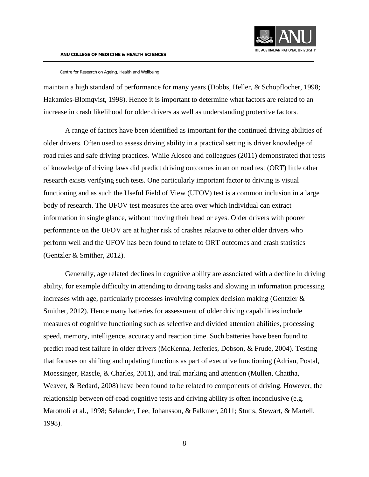

maintain a high standard of performance for many years [\(Dobbs, Heller, & Schopflocher, 1998;](#page-52-1) [Hakamies-Blomqvist, 1998\)](#page-53-6). Hence it is important to determine what factors are related to an increase in crash likelihood for older drivers as well as understanding protective factors.

A range of factors have been identified as important for the continued driving abilities of older drivers. Often used to assess driving ability in a practical setting is driver knowledge of road rules and safe driving practices. While Alosco and colleagues [\(2011\)](#page-52-2) demonstrated that tests of knowledge of driving laws did predict driving outcomes in an on road test (ORT) little other research exists verifying such tests. One particularly important factor to driving is visual functioning and as such the Useful Field of View (UFOV) test is a common inclusion in a large body of research. The UFOV test measures the area over which individual can extract information in single glance, without moving their head or eyes. Older drivers with poorer performance on the UFOV are at higher risk of crashes relative to other older drivers who perform well and the UFOV has been found to relate to ORT outcomes and crash statistics [\(Gentzler & Smither, 2012\)](#page-53-7).

Generally, age related declines in cognitive ability are associated with a decline in driving ability, for example difficulty in attending to driving tasks and slowing in information processing increases with age, particularly processes involving complex decision making [\(Gentzler &](#page-53-7)  [Smither, 2012\)](#page-53-7). Hence many batteries for assessment of older driving capabilities include measures of cognitive functioning such as selective and divided attention abilities, processing speed, memory, intelligence, accuracy and reaction time. Such batteries have been found to predict road test failure in older drivers [\(McKenna, Jefferies, Dobson, & Frude, 2004\)](#page-53-8). Testing that focuses on shifting and updating functions as part of executive functioning [\(Adrian, Postal,](#page-52-3)  [Moessinger, Rascle, & Charles, 2011\)](#page-52-3), and trail marking and attention [\(Mullen, Chattha,](#page-54-1)  [Weaver, & Bedard, 2008\)](#page-54-1) have been found to be related to components of driving. However, the relationship between off-road cognitive tests and driving ability is often inconclusive (e.g. [Marottoli et al., 1998;](#page-53-9) [Selander, Lee, Johansson, & Falkmer, 2011;](#page-54-2) [Stutts, Stewart, & Martell,](#page-54-3)  [1998\)](#page-54-3).

8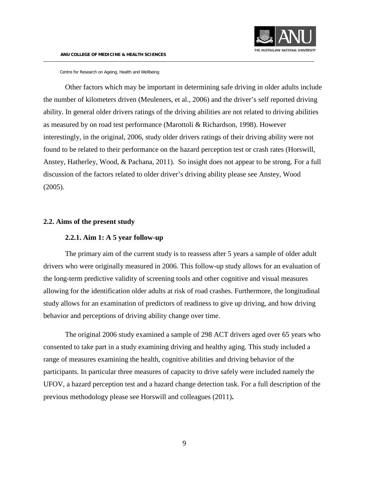

Other factors which may be important in determining safe driving in older adults include the number of kilometers driven [\(Meuleners, et al., 2006\)](#page-53-5) and the driver's self reported driving ability. In general older drivers ratings of the driving abilities are not related to driving abilities as measured by on road test performance [\(Marottoli & Richardson, 1998\)](#page-53-10). However interestingly, in the original, 2006, study older drivers ratings of their driving ability were not found to be related to their performance on the hazard perception test or crash rates [\(Horswill,](#page-53-11)  [Anstey, Hatherley, Wood, & Pachana, 2011\)](#page-53-11). So insight does not appear to be strong. For a full discussion of the factors related to older driver's driving ability please see Anstey, Wood [\(2005\)](#page-52-4).

#### <span id="page-8-1"></span><span id="page-8-0"></span>**2.2. Aims of the present study**

#### **2.2.1. Aim 1: A 5 year follow-up**

The primary aim of the current study is to reassess after 5 years a sample of older adult drivers who were originally measured in 2006. This follow-up study allows for an evaluation of the long-term predictive validity of screening tools and other cognitive and visual measures allowing for the identification older adults at risk of road crashes. Furthermore, the longitudinal study allows for an examination of predictors of readiness to give up driving, and how driving behavior and perceptions of driving ability change over time.

The original 2006 study examined a sample of 298 ACT drivers aged over 65 years who consented to take part in a study examining driving and healthy aging. This study included a range of measures examining the health, cognitive abilities and driving behavior of the participants. In particular three measures of capacity to drive safely were included namely the UFOV, a hazard perception test and a hazard change detection task. For a full description of the previous methodology please see Horswill and colleagues [\(2011\)](#page-53-11)**.**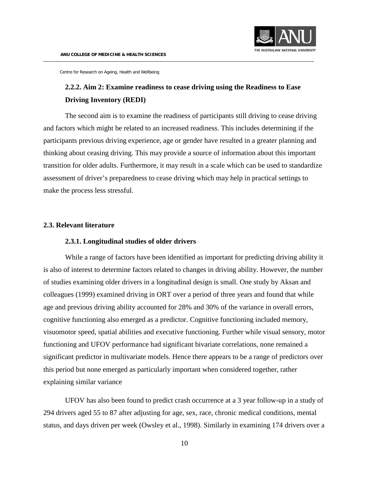

## <span id="page-9-0"></span>**2.2.2. Aim 2: Examine readiness to cease driving using the Readiness to Ease Driving Inventory (REDI)**

The second aim is to examine the readiness of participants still driving to cease driving and factors which might be related to an increased readiness. This includes determining if the participants previous driving experience, age or gender have resulted in a greater planning and thinking about ceasing driving. This may provide a source of information about this important transition for older adults. Furthermore, it may result in a scale which can be used to standardize assessment of driver's preparedness to cease driving which may help in practical settings to make the process less stressful.

## <span id="page-9-2"></span><span id="page-9-1"></span>**2.3. Relevant literature**

#### **2.3.1. Longitudinal studies of older drivers**

While a range of factors have been identified as important for predicting driving ability it is also of interest to determine factors related to changes in driving ability. However, the number of studies examining older drivers in a longitudinal design is small. One study by Aksan and colleagues [\(1999\)](#page-52-5) examined driving in ORT over a period of three years and found that while age and previous driving ability accounted for 28% and 30% of the variance in overall errors, cognitive functioning also emerged as a predictor. Cognitive functioning included memory, visuomotor speed, spatial abilities and executive functioning. Further while visual sensory, motor functioning and UFOV performance had significant bivariate correlations, none remained a significant predictor in multivariate models. Hence there appears to be a range of predictors over this period but none emerged as particularly important when considered together, rather explaining similar variance

UFOV has also been found to predict crash occurrence at a 3 year follow-up in a study of 294 drivers aged 55 to 87 after adjusting for age, sex, race, chronic medical conditions, mental status, and days driven per week [\(Owsley et al., 1998\)](#page-54-4). Similarly in examining 174 drivers over a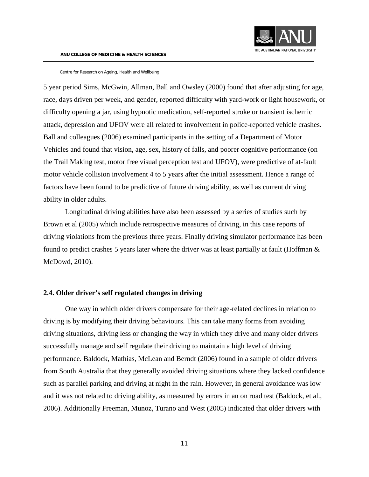

5 year period Sims, McGwin, Allman, Ball and Owsley [\(2000\)](#page-54-5) found that after adjusting for age, race, days driven per week, and gender, reported difficulty with yard-work or light housework, or difficulty opening a jar, using hypnotic medication, self-reported stroke or transient ischemic attack, depression and UFOV were all related to involvement in police-reported vehicle crashes. Ball and colleagues [\(2006\)](#page-52-6) examined participants in the setting of a Department of Motor Vehicles and found that vision, age, sex, history of falls, and poorer cognitive performance (on the Trail Making test, motor free visual perception test and UFOV), were predictive of at-fault motor vehicle collision involvement 4 to 5 years after the initial assessment. Hence a range of factors have been found to be predictive of future driving ability, as well as current driving ability in older adults.

Longitudinal driving abilities have also been assessed by a series of studies such by Brown et al [\(2005\)](#page-52-7) which include retrospective measures of driving, in this case reports of driving violations from the previous three years. Finally driving simulator performance has been found to predict crashes 5 years later where the driver was at least partially at fault [\(Hoffman &](#page-53-12)  [McDowd, 2010\)](#page-53-12).

#### <span id="page-10-0"></span>**2.4. Older driver's self regulated changes in driving**

One way in which older drivers compensate for their age-related declines in relation to driving is by modifying their driving behaviours. This can take many forms from avoiding driving situations, driving less or changing the way in which they drive and many older drivers successfully manage and self regulate their driving to maintain a high level of driving performance. Baldock, Mathias, McLean and Berndt [\(2006\)](#page-52-8) found in a sample of older drivers from South Australia that they generally avoided driving situations where they lacked confidence such as parallel parking and driving at night in the rain. However, in general avoidance was low and it was not related to driving ability, as measured by errors in an on road test [\(Baldock, et al.,](#page-52-8)  [2006\)](#page-52-8). Additionally Freeman, Munoz, Turano and West [\(2005\)](#page-52-9) indicated that older drivers with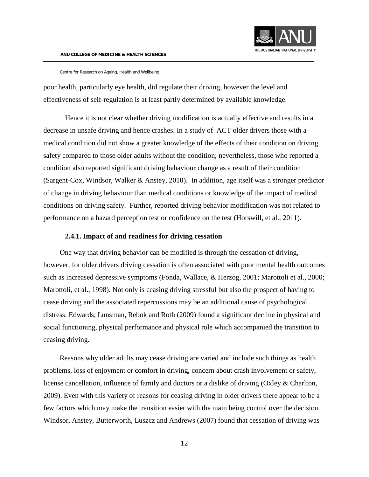

poor health, particularly eye health, did regulate their driving, however the level and effectiveness of self-regulation is at least partly determined by available knowledge.

Hence it is not clear whether driving modification is actually effective and results in a decrease in unsafe driving and hence crashes. In a study of ACT older drivers those with a medical condition did not show a greater knowledge of the effects of their condition on driving safety compared to those older adults without the condition; nevertheless, those who reported a condition also reported significant driving behaviour change as a result of their condition (Sargent-Cox, Windsor, Walker & Anstey, 2010). In addition, age itself was a stronger predictor of change in driving behaviour than medical conditions or knowledge of the impact of medical conditions on driving safety. Further, reported driving behavior modification was not related to performance on a hazard perception test or confidence on the test [\(Horswill, et al., 2011\)](#page-53-11).

#### **2.4.1. Impact of and readiness for driving cessation**

<span id="page-11-0"></span>One way that driving behavior can be modified is through the cessation of driving, however, for older drivers driving cessation is often associated with poor mental health outcomes such as increased depressive symptoms [\(Fonda, Wallace, & Herzog, 2001;](#page-52-10) [Marottoli et al., 2000;](#page-53-13) [Marottoli, et al., 1998\)](#page-53-9). Not only is ceasing driving stressful but also the prospect of having to cease driving and the associated repercussions may be an additional cause of psychological distress. Edwards, Lunsman, Rebok and Roth [\(2009\)](#page-52-11) found a significant decline in physical and social functioning, physical performance and physical role which accompanied the transition to ceasing driving.

Reasons why older adults may cease driving are varied and include such things as health problems, loss of enjoyment or comfort in driving, concern about crash involvement or safety, license cancellation, influence of family and doctors or a dislike of driving [\(Oxley & Charlton,](#page-54-6)  [2009\)](#page-54-6). Even with this variety of reasons for ceasing driving in older drivers there appear to be a few factors which may make the transition easier with the main being control over the decision. Windsor, Anstey, Butterworth, Luszcz and Andrews [\(2007\)](#page-54-7) found that cessation of driving was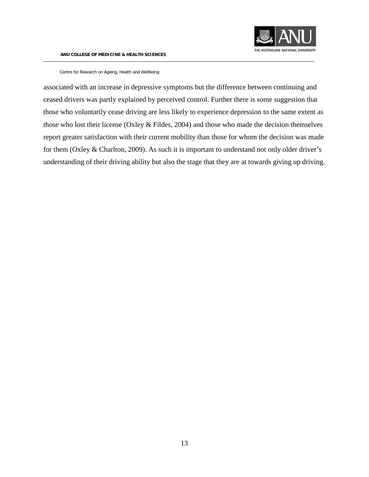

associated with an increase in depressive symptoms but the difference between continuing and ceased drivers was partly explained by perceived control. Further there is some suggestion that those who voluntarily cease driving are less likely to experience depression to the same extent as those who lost their license (Oxley  $&$  Fildes, 2004) and those who made the decision themselves report greater satisfaction with their current mobility than those for whom the decision was made for them [\(Oxley & Charlton, 2009\)](#page-54-6). As such it is important to understand not only older driver's understanding of their driving ability but also the stage that they are at towards giving up driving.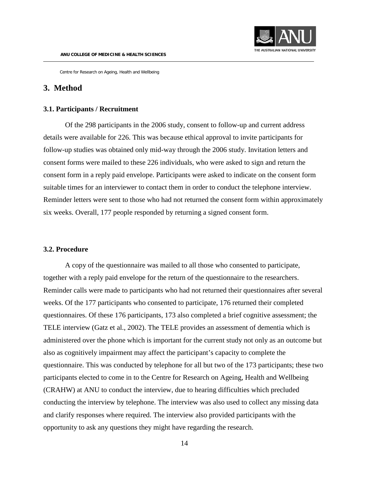

## <span id="page-13-0"></span>**3. Method**

## <span id="page-13-1"></span>**3.1. Participants / Recruitment**

Of the 298 participants in the 2006 study, consent to follow-up and current address details were available for 226. This was because ethical approval to invite participants for follow-up studies was obtained only mid-way through the 2006 study. Invitation letters and consent forms were mailed to these 226 individuals, who were asked to sign and return the consent form in a reply paid envelope. Participants were asked to indicate on the consent form suitable times for an interviewer to contact them in order to conduct the telephone interview. Reminder letters were sent to those who had not returned the consent form within approximately six weeks. Overall, 177 people responded by returning a signed consent form.

## <span id="page-13-2"></span>**3.2. Procedure**

A copy of the questionnaire was mailed to all those who consented to participate, together with a reply paid envelope for the return of the questionnaire to the researchers. Reminder calls were made to participants who had not returned their questionnaires after several weeks. Of the 177 participants who consented to participate, 176 returned their completed questionnaires. Of these 176 participants, 173 also completed a brief cognitive assessment; the TELE interview [\(Gatz et al., 2002\)](#page-53-14). The TELE provides an assessment of dementia which is administered over the phone which is important for the current study not only as an outcome but also as cognitively impairment may affect the participant's capacity to complete the questionnaire. This was conducted by telephone for all but two of the 173 participants; these two participants elected to come in to the Centre for Research on Ageing, Health and Wellbeing (CRAHW) at ANU to conduct the interview, due to hearing difficulties which precluded conducting the interview by telephone. The interview was also used to collect any missing data and clarify responses where required. The interview also provided participants with the opportunity to ask any questions they might have regarding the research.

14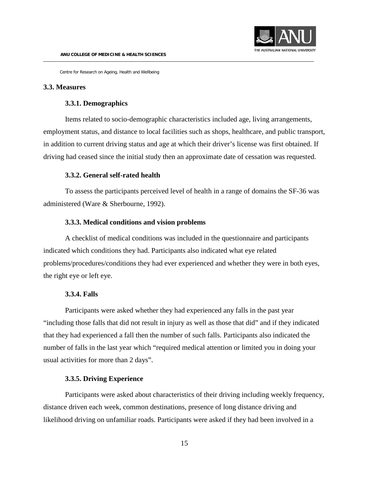

#### <span id="page-14-1"></span><span id="page-14-0"></span>**3.3. Measures**

#### **3.3.1. Demographics**

Items related to socio-demographic characteristics included age, living arrangements, employment status, and distance to local facilities such as shops, healthcare, and public transport, in addition to current driving status and age at which their driver's license was first obtained. If driving had ceased since the initial study then an approximate date of cessation was requested.

#### **3.3.2. General self-rated health**

<span id="page-14-2"></span>To assess the participants perceived level of health in a range of domains the SF-36 was administered [\(Ware & Sherbourne, 1992\)](#page-54-9).

#### **3.3.3. Medical conditions and vision problems**

<span id="page-14-3"></span>A checklist of medical conditions was included in the questionnaire and participants indicated which conditions they had. Participants also indicated what eye related problems/procedures/conditions they had ever experienced and whether they were in both eyes, the right eye or left eye.

#### **3.3.4. Falls**

<span id="page-14-4"></span>Participants were asked whether they had experienced any falls in the past year "including those falls that did not result in injury as well as those that did" and if they indicated that they had experienced a fall then the number of such falls. Participants also indicated the number of falls in the last year which "required medical attention or limited you in doing your usual activities for more than 2 days".

## **3.3.5. Driving Experience**

<span id="page-14-5"></span>Participants were asked about characteristics of their driving including weekly frequency, distance driven each week, common destinations, presence of long distance driving and likelihood driving on unfamiliar roads. Participants were asked if they had been involved in a

15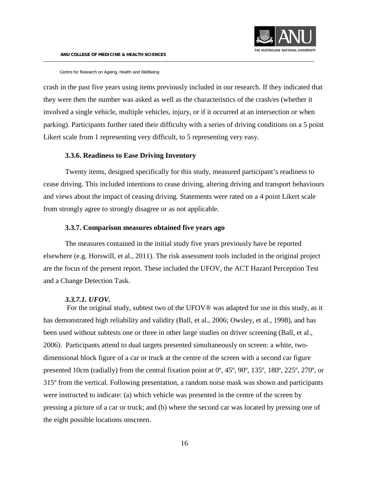

crash in the past five years using items previously included in our research. If they indicated that they were then the number was asked as well as the characteristics of the crash/es (whether it involved a single vehicle, multiple vehicles, injury, or if it occurred at an intersection or when parking). Participants further rated their difficulty with a series of driving conditions on a 5 point Likert scale from 1 representing very difficult, to 5 representing very easy.

#### **3.3.6. Readiness to Ease Driving Inventory**

<span id="page-15-0"></span>Twenty items, designed specifically for this study, measured participant's readiness to cease driving. This included intentions to cease driving, altering driving and transport behaviours and views about the impact of ceasing driving. Statements were rated on a 4 point Likert scale from strongly agree to strongly disagree or as not applicable.

## **3.3.7. Comparison measures obtained five years ago**

<span id="page-15-1"></span>The measures contained in the initial study five years previously have be reported elsewhere [\(e.g. Horswill, et al., 2011\)](#page-53-11). The risk assessment tools included in the original project are the focus of the present report. These included the UFOV, the ACT Hazard Perception Test and a Change Detection Task.

## *3.3.7.1. UFOV.*

For the original study, subtest two of the UFOV® was adapted for use in this study, as it has demonstrated high reliability and validity [\(Ball, et al., 2006;](#page-52-6) [Owsley, et al., 1998\)](#page-54-4), and has been used without subtests one or three in other large studies on driver screening [\(Ball, et al.,](#page-52-6)  [2006\)](#page-52-6). Participants attend to dual targets presented simultaneously on screen: a white, twodimensional block figure of a car or truck at the centre of the screen with a second car figure presented 10cm (radially) from the central fixation point at 0º, 45º, 90º, 135º, 180º, 225º, 270º, or 315º from the vertical. Following presentation, a random noise mask was shown and participants were instructed to indicate: (a) which vehicle was presented in the centre of the screen by pressing a picture of a car or truck; and (b) where the second car was located by pressing one of the eight possible locations onscreen.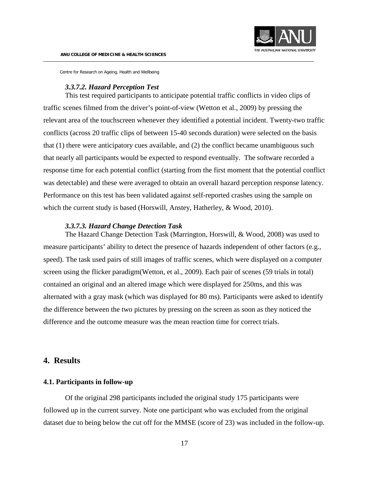

#### *3.3.7.2. Hazard Perception Test*

This test required participants to anticipate potential traffic conflicts in video clips of traffic scenes filmed from the driver's point-of-view [\(Wetton et al., 2009\)](#page-54-10) by pressing the relevant area of the touchscreen whenever they identified a potential incident. Twenty-two traffic conflicts (across 20 traffic clips of between 15-40 seconds duration) were selected on the basis that (1) there were anticipatory cues available, and (2) the conflict became unambiguous such that nearly all participants would be expected to respond eventually. The software recorded a response time for each potential conflict (starting from the first moment that the potential conflict was detectable) and these were averaged to obtain an overall hazard perception response latency. Performance on this test has been validated against self-reported crashes using the sample on which the current study is based [\(Horswill, Anstey, Hatherley, & Wood, 2010\)](#page-53-15).

#### *3.3.7.3. Hazard Change Detection Task*

The Hazard Change Detection Task [\(Marrington, Horswill, & Wood, 2008\)](#page-53-16) was used to measure participants' ability to detect the presence of hazards independent of other factors (e.g., speed). The task used pairs of still images of traffic scenes, which were displayed on a computer screen using the flicker paradigm[\(Wetton, et al., 2009\)](#page-54-10). Each pair of scenes (59 trials in total) contained an original and an altered image which were displayed for 250ms, and this was alternated with a gray mask (which was displayed for 80 ms). Participants were asked to identify the difference between the two pictures by pressing on the screen as soon as they noticed the difference and the outcome measure was the mean reaction time for correct trials.

## <span id="page-16-0"></span>**4. Results**

## <span id="page-16-1"></span>**4.1. Participants in follow-up**

Of the original 298 participants included the original study 175 participants were followed up in the current survey. Note one participant who was excluded from the original dataset due to being below the cut off for the MMSE (score of 23) was included in the follow-up.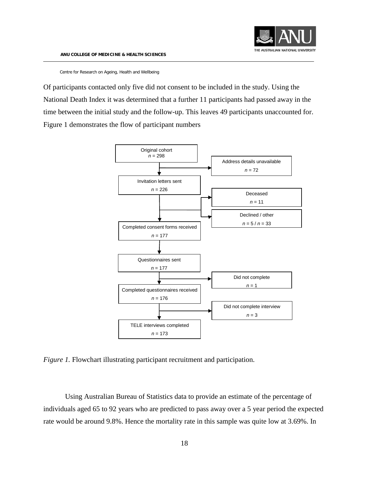

Of participants contacted only five did not consent to be included in the study. Using the National Death Index it was determined that a further 11 participants had passed away in the time between the initial study and the follow-up. This leaves 49 participants unaccounted for. Figure 1 demonstrates the flow of participant numbers



*Figure 1.* Flowchart illustrating participant recruitment and participation.

Using Australian Bureau of Statistics data to provide an estimate of the percentage of individuals aged 65 to 92 years who are predicted to pass away over a 5 year period the expected rate would be around 9.8%. Hence the mortality rate in this sample was quite low at 3.69%. In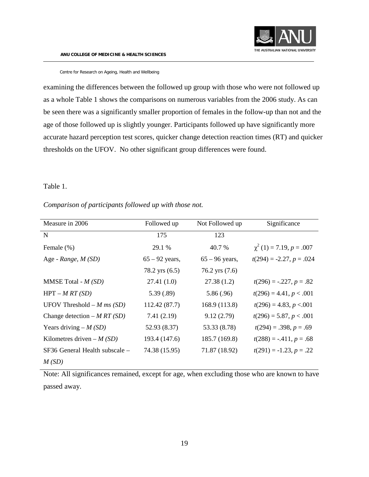

examining the differences between the followed up group with those who were not followed up as a whole Table 1 shows the comparisons on numerous variables from the 2006 study. As can be seen there was a significantly smaller proportion of females in the follow-up than not and the age of those followed up is slightly younger. Participants followed up have significantly more accurate hazard perception test scores, quicker change detection reaction times (RT) and quicker thresholds on the UFOV. No other significant group differences were found.

#### Table 1.

## *Comparison of participants followed up with those not.*

| Measure in 2006                | Followed up      | Not Followed up  | Significance                 |
|--------------------------------|------------------|------------------|------------------------------|
| N                              | 175              | 123              |                              |
| Female (%)                     | 29.1 %           | 40.7 %           | $\chi^2(1) = 7.19, p = .007$ |
| Age - $Range, M(SD)$           | $65 - 92$ years, | $65 - 96$ years, | $t(294) = -2.27, p = .024$   |
|                                | 78.2 yrs (6.5)   | 76.2 yrs (7.6)   |                              |
| MMSE Total - $M(SD)$           | 27.41(1.0)       | 27.38(1.2)       | $t(296) = -.227, p = .82$    |
| $HPT - M RT(SD)$               | 5.39(.89)        | 5.86(.96)        | $t(296) = 4.41, p < .001$    |
| UFOV Threshold $-M$ ms (SD)    | 112.42 (87.7)    | 168.9 (113.8)    | $t(296) = 4.83, p < 0.001$   |
| Change detection – M RT $(SD)$ | 7.41(2.19)       | 9.12(2.79)       | $t(296) = 5.87, p < .001$    |
| Years driving $-M(SD)$         | 52.93 (8.37)     | 53.33 (8.78)     | $t(294) = .398, p = .69$     |
| Kilometres driven – $M(SD)$    | 193.4 (147.6)    | 185.7 (169.8)    | $t(288) = -.411, p = .68$    |
| SF36 General Health subscale – | 74.38 (15.95)    | 71.87 (18.92)    | $t(291) = -1.23, p = .22$    |
| M(SD)                          |                  |                  |                              |

Note: All significances remained, except for age, when excluding those who are known to have passed away.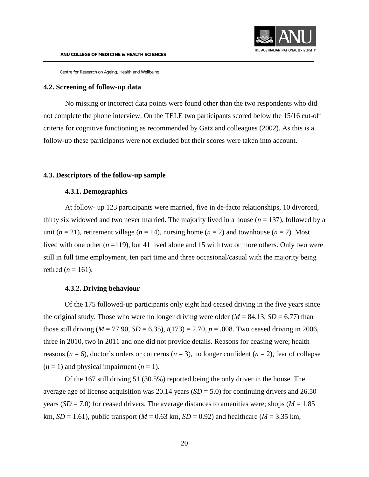

#### <span id="page-19-0"></span>**4.2. Screening of follow-up data**

No missing or incorrect data points were found other than the two respondents who did not complete the phone interview. On the TELE two participants scored below the 15/16 cut-off criteria for cognitive functioning as recommended by Gatz and colleagues [\(2002\)](#page-53-14). As this is a follow-up these participants were not excluded but their scores were taken into account.

#### <span id="page-19-2"></span><span id="page-19-1"></span>**4.3. Descriptors of the follow-up sample**

#### **4.3.1. Demographics**

At follow- up 123 participants were married, five in de-facto relationships, 10 divorced, thirty six widowed and two never married. The majority lived in a house  $(n = 137)$ , followed by a unit ( $n = 21$ ), retirement village ( $n = 14$ ), nursing home ( $n = 2$ ) and townhouse ( $n = 2$ ). Most lived with one other (*n* =119), but 41 lived alone and 15 with two or more others. Only two were still in full time employment, ten part time and three occasional/casual with the majority being retired  $(n = 161)$ .

#### **4.3.2. Driving behaviour**

<span id="page-19-3"></span>Of the 175 followed-up participants only eight had ceased driving in the five years since the original study. Those who were no longer driving were older  $(M = 84.13, SD = 6.77)$  than those still driving ( $M = 77.90$ ,  $SD = 6.35$ ),  $t(173) = 2.70$ ,  $p = .008$ . Two ceased driving in 2006, three in 2010, two in 2011 and one did not provide details. Reasons for ceasing were; health reasons ( $n = 6$ ), doctor's orders or concerns ( $n = 3$ ), no longer confident ( $n = 2$ ), fear of collapse  $(n = 1)$  and physical impairment  $(n = 1)$ .

Of the 167 still driving 51 (30.5%) reported being the only driver in the house. The average age of license acquisition was 20.14 years (*SD* = 5.0) for continuing drivers and 26.50 years  $(SD = 7.0)$  for ceased drivers. The average distances to amenities were; shops  $(M = 1.85)$ km,  $SD = 1.61$ ), public transport ( $M = 0.63$  km,  $SD = 0.92$ ) and healthcare ( $M = 3.35$  km,

20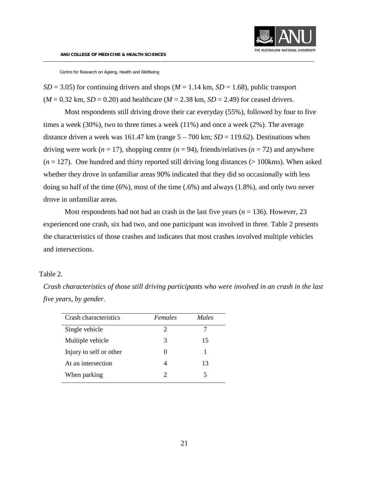

 $SD = 3.05$ ) for continuing drivers and shops ( $M = 1.14$  km,  $SD = 1.68$ ), public transport  $(M = 0.32$  km,  $SD = 0.20$ ) and healthcare  $(M = 2.38$  km,  $SD = 2.49$ ) for ceased drivers.

Most respondents still driving drove their car everyday (55%), followed by four to five times a week (30%), two to three times a week (11%) and once a week (2%). The average distance driven a week was  $161.47$  km (range  $5 - 700$  km;  $SD = 119.62$ ). Destinations when driving were work ( $n = 17$ ), shopping centre ( $n = 94$ ), friends/relatives ( $n = 72$ ) and anywhere  $(n = 127)$ . One hundred and thirty reported still driving long distances ( $> 100$ kms). When asked whether they drove in unfamiliar areas 90% indicated that they did so occasionally with less doing so half of the time (6%), most of the time (.6%) and always (1.8%), and only two never drove in unfamiliar areas.

Most respondents had not had an crash in the last five years (*n* = 136). However, 23 experienced one crash, six had two, and one participant was involved in three. Table 2 presents the characteristics of those crashes and indicates that most crashes involved multiple vehicles and intersections.

#### Table 2.

| Crash characteristics   | Females                     | Males |
|-------------------------|-----------------------------|-------|
| Single vehicle          | 2                           |       |
| Multiple vehicle        | 3                           | 15    |
| Injury to self or other |                             |       |
| At an intersection      |                             | 13    |
| When parking            | $\mathcal{D}_{\mathcal{A}}$ | 5     |

*Crash characteristics of those still driving participants who were involved in an crash in the last five years, by gender.*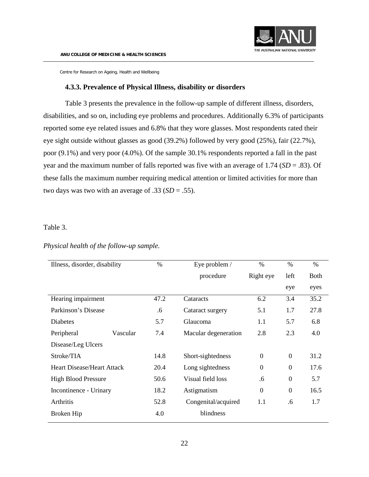

## **4.3.3. Prevalence of Physical Illness, disability or disorders**

<span id="page-21-0"></span>Table 3 presents the prevalence in the follow-up sample of different illness, disorders, disabilities, and so on, including eye problems and procedures. Additionally 6.3% of participants reported some eye related issues and 6.8% that they wore glasses. Most respondents rated their eye sight outside without glasses as good (39.2%) followed by very good (25%), fair (22.7%), poor (9.1%) and very poor (4.0%). Of the sample 30.1% respondents reported a fall in the past year and the maximum number of falls reported was five with an average of 1.74 (*SD* = .83). Of these falls the maximum number requiring medical attention or limited activities for more than two days was two with an average of .33  $(SD = .55)$ .

#### Table 3.

## *Physical health of the follow-up sample.*

| Illness, disorder, disability     |          | $\%$ | Eye problem /        | $\frac{0}{0}$    | $\%$           | $\%$        |
|-----------------------------------|----------|------|----------------------|------------------|----------------|-------------|
|                                   |          |      | procedure            | Right eye        | left           | <b>Both</b> |
|                                   |          |      |                      |                  | eye            | eyes        |
| Hearing impairment                |          | 47.2 | Cataracts            | 6.2              | 3.4            | 35.2        |
| Parkinson's Disease               |          | .6   | Cataract surgery     | 5.1              | 1.7            | 27.8        |
| <b>Diabetes</b>                   |          | 5.7  | Glaucoma             | 1.1              | 5.7            | 6.8         |
| Peripheral                        | Vascular | 7.4  | Macular degeneration | 2.8              | 2.3            | 4.0         |
| Disease/Leg Ulcers                |          |      |                      |                  |                |             |
| Stroke/TIA                        |          | 14.8 | Short-sightedness    | $\overline{0}$   | $\overline{0}$ | 31.2        |
| <b>Heart Disease/Heart Attack</b> |          | 20.4 | Long sightedness     | $\boldsymbol{0}$ | $\overline{0}$ | 17.6        |
| <b>High Blood Pressure</b>        |          | 50.6 | Visual field loss    | .6               | $\overline{0}$ | 5.7         |
| Incontinence - Urinary            |          | 18.2 | Astigmatism          | $\mathbf{0}$     | $\overline{0}$ | 16.5        |
| Arthritis                         |          | 52.8 | Congenital/acquired  | 1.1              | .6             | 1.7         |
| Broken Hip                        |          | 4.0  | blindness            |                  |                |             |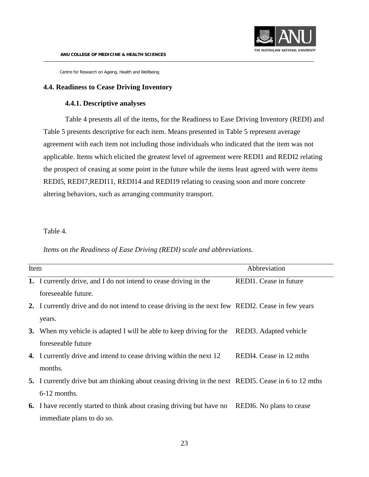

#### <span id="page-22-1"></span><span id="page-22-0"></span>**4.4. Readiness to Cease Driving Inventory**

## **4.4.1. Descriptive analyses**

Table 4 presents all of the items, for the Readiness to Ease Driving Inventory (REDI) and Table 5 presents descriptive for each item. Means presented in Table 5 represent average agreement with each item not including those individuals who indicated that the item was not applicable. Items which elicited the greatest level of agreement were REDI1 and REDI2 relating the prospect of ceasing at some point in the future while the items least agreed with were items REDI5, REDI7,REDI11, REDI14 and REDI19 relating to ceasing soon and more concrete altering behaviors, such as arranging community transport.

## Table 4.

## *Items on the Readiness of Ease Driving (REDI) scale and abbreviations.*

| Item |                                                                                                     | Abbreviation                          |
|------|-----------------------------------------------------------------------------------------------------|---------------------------------------|
|      | 1. I currently drive, and I do not intend to cease driving in the                                   | REDI1. Cease in future                |
|      | foreseeable future.                                                                                 |                                       |
|      | 2. I currently drive and do not intend to cease driving in the next few REDI2. Cease in few years   |                                       |
|      | years.                                                                                              |                                       |
|      | 3. When my vehicle is adapted I will be able to keep driving for the                                | REDI3. Adapted vehicle                |
|      | foreseeable future                                                                                  |                                       |
|      | 4. I currently drive and intend to cease driving within the next 12                                 | REDI4. Cease in 12 mths               |
|      | months.                                                                                             |                                       |
|      | 5. I currently drive but am thinking about ceasing driving in the next REDI5. Cease in 6 to 12 mths |                                       |
|      | $6-12$ months.                                                                                      |                                       |
|      | <b>6.</b> I have recently started to think about ceasing driving but have no                        | REDI <sub>6</sub> . No plans to cease |
|      | immediate plans to do so.                                                                           |                                       |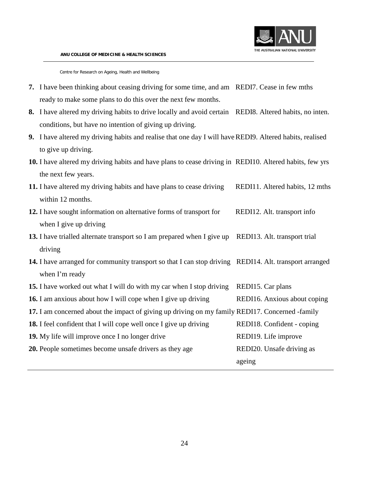

- **7.** I have been thinking about ceasing driving for some time, and am REDI7. Cease in few mths ready to make some plans to do this over the next few months.
- **8.** I have altered my driving habits to drive locally and avoid certain REDI8. Altered habits, no inten. conditions, but have no intention of giving up driving.
- **9.** I have altered my driving habits and realise that one day I will have REDI9. Altered habits, realised to give up driving.
- **10.** I have altered my driving habits and have plans to cease driving in REDI10. Altered habits, few yrs the next few years.
- **11.** I have altered my driving habits and have plans to cease driving within 12 months. REDI11. Altered habits, 12 mths
- **12.** I have sought information on alternative forms of transport for when I give up driving REDI12. Alt. transport info
- **13.** I have trialled alternate transport so I am prepared when I give up driving REDI13. Alt. transport trial
- **14.** I have arranged for community transport so that I can stop driving REDI14. Alt. transport arranged when I'm ready
- **15.** I have worked out what I will do with my car when I stop driving REDI15. Car plans
- **16.** I am anxious about how I will cope when I give up driving REDI16. Anxious about coping
- **17.** I am concerned about the impact of giving up driving on my family REDI17. Concerned -family
- **18.** I feel confident that I will cope well once I give up driving REDI18. Confident coping **19.** My life will improve once I no longer drive REDI19. Life improve
- **20.** People sometimes become unsafe drivers as they age REDI20. Unsafe driving as ageing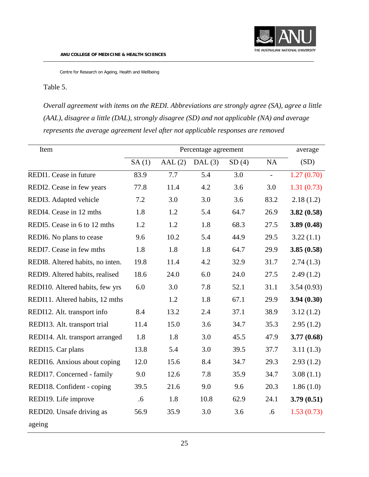Table 5.

*Overall agreement with items on the REDI. Abbreviations are strongly agree (SA), agree a little (AAL), disagree a little (DAL), strongly disagree (SD) and not applicable (NA) and average represents the average agreement level after not applicable responses are removed*

| Item                             |       | average |        |       |               |            |
|----------------------------------|-------|---------|--------|-------|---------------|------------|
|                                  | SA(1) | AAL(2)  | DAL(3) | SD(4) | NA            | (SD)       |
| REDI1. Cease in future           | 83.9  | 7.7     | 5.4    | 3.0   | $\frac{1}{2}$ | 1.27(0.70) |
| REDI2. Cease in few years        | 77.8  | 11.4    | 4.2    | 3.6   | 3.0           | 1.31(0.73) |
| REDI3. Adapted vehicle           | 7.2   | 3.0     | 3.0    | 3.6   | 83.2          | 2.18(1.2)  |
| REDI4. Cease in 12 mths          | 1.8   | 1.2     | 5.4    | 64.7  | 26.9          | 3.82(0.58) |
| REDI5. Cease in 6 to 12 mths     | 1.2   | 1.2     | 1.8    | 68.3  | 27.5          | 3.89(0.48) |
| REDI6. No plans to cease         | 9.6   | 10.2    | 5.4    | 44.9  | 29.5          | 3.22(1.1)  |
| REDI7. Cease in few mths         | 1.8   | 1.8     | 1.8    | 64.7  | 29.9          | 3.85(0.58) |
| REDI8. Altered habits, no inten. | 19.8  | 11.4    | 4.2    | 32.9  | 31.7          | 2.74(1.3)  |
| REDI9. Altered habits, realised  | 18.6  | 24.0    | 6.0    | 24.0  | 27.5          | 2.49(1.2)  |
| REDI10. Altered habits, few yrs  | 6.0   | 3.0     | 7.8    | 52.1  | 31.1          | 3.54(0.93) |
| REDI11. Altered habits, 12 mths  |       | 1.2     | 1.8    | 67.1  | 29.9          | 3.94(0.30) |
| REDI12. Alt. transport info      | 8.4   | 13.2    | 2.4    | 37.1  | 38.9          | 3.12(1.2)  |
| REDI13. Alt. transport trial     | 11.4  | 15.0    | 3.6    | 34.7  | 35.3          | 2.95(1.2)  |
| REDI14. Alt. transport arranged  | 1.8   | 1.8     | 3.0    | 45.5  | 47.9          | 3.77(0.68) |
| REDI15. Car plans                | 13.8  | 5.4     | 3.0    | 39.5  | 37.7          | 3.11(1.3)  |
| REDI16. Anxious about coping     | 12.0  | 15.6    | 8.4    | 34.7  | 29.3          | 2.93(1.2)  |
| REDI17. Concerned - family       | 9.0   | 12.6    | 7.8    | 35.9  | 34.7          | 3.08(1.1)  |
| REDI18. Confident - coping       | 39.5  | 21.6    | 9.0    | 9.6   | 20.3          | 1.86(1.0)  |
| REDI19. Life improve             | .6    | 1.8     | 10.8   | 62.9  | 24.1          | 3.79(0.51) |
| REDI20. Unsafe driving as        | 56.9  | 35.9    | 3.0    | 3.6   | .6            | 1.53(0.73) |
| ageing                           |       |         |        |       |               |            |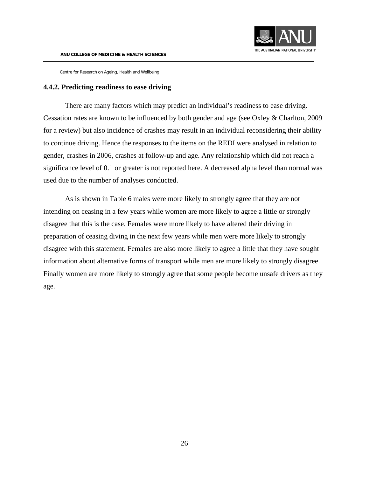

#### **4.4.2. Predicting readiness to ease driving**

There are many factors which may predict an individual's readiness to ease driving. Cessation rates are known to be influenced by both gender and age [\(see Oxley & Charlton, 2009](#page-54-6)  [for a review\)](#page-54-6) but also incidence of crashes may result in an individual reconsidering their ability to continue driving. Hence the responses to the items on the REDI were analysed in relation to gender, crashes in 2006, crashes at follow-up and age. Any relationship which did not reach a significance level of 0.1 or greater is not reported here. A decreased alpha level than normal was used due to the number of analyses conducted.

As is shown in Table 6 males were more likely to strongly agree that they are not intending on ceasing in a few years while women are more likely to agree a little or strongly disagree that this is the case. Females were more likely to have altered their driving in preparation of ceasing diving in the next few years while men were more likely to strongly disagree with this statement. Females are also more likely to agree a little that they have sought information about alternative forms of transport while men are more likely to strongly disagree. Finally women are more likely to strongly agree that some people become unsafe drivers as they age.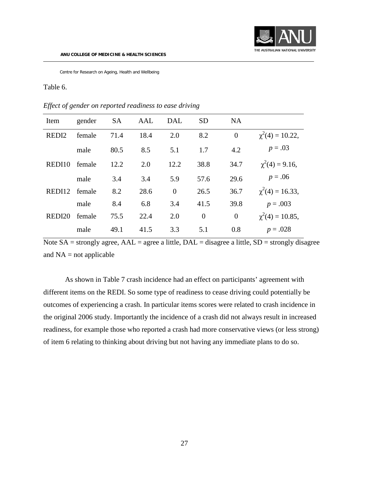

#### Table 6.

| Item               | gender | <b>SA</b> | AAL  | DAL      | <b>SD</b>      | <b>NA</b>      |                       |
|--------------------|--------|-----------|------|----------|----------------|----------------|-----------------------|
| REDI <sub>2</sub>  | female | 71.4      | 18.4 | 2.0      | 8.2            | $\overline{0}$ | $\chi^2(4) = 10.22$ , |
|                    | male   | 80.5      | 8.5  | 5.1      | 1.7            | 4.2            | $p = .03$             |
| REDI10             | female | 12.2      | 2.0  | 12.2     | 38.8           | 34.7           | $\chi^2(4) = 9.16$ ,  |
|                    | male   | 3.4       | 3.4  | 5.9      | 57.6           | 29.6           | $p = .06$             |
| REDI <sub>12</sub> | female | 8.2       | 28.6 | $\theta$ | 26.5           | 36.7           | $\chi^2(4) = 16.33$ , |
|                    | male   | 8.4       | 6.8  | 3.4      | 41.5           | 39.8           | $p = .003$            |
| REDI20             | female | 75.5      | 22.4 | 2.0      | $\overline{0}$ | $\theta$       | $\chi^2(4) = 10.85$ , |
|                    | male   | 49.1      | 41.5 | 3.3      | 5.1            | 0.8            | $p = .028$            |

*Effect of gender on reported readiness to ease driving* 

Note  $SA =$  strongly agree,  $AAL =$  agree a little,  $DAL =$  disagree a little,  $SD =$  strongly disagree and  $NA = not$  applicable

As shown in Table 7 crash incidence had an effect on participants' agreement with different items on the REDI. So some type of readiness to cease driving could potentially be outcomes of experiencing a crash. In particular items scores were related to crash incidence in the original 2006 study. Importantly the incidence of a crash did not always result in increased readiness, for example those who reported a crash had more conservative views (or less strong) of item 6 relating to thinking about driving but not having any immediate plans to do so.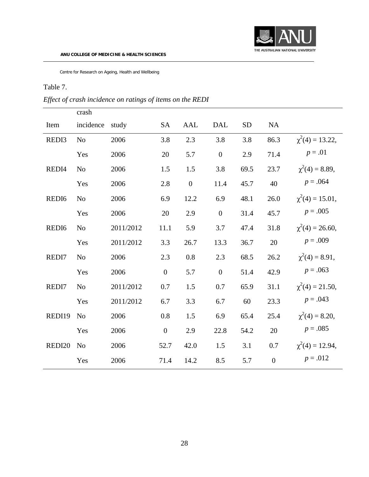

## Table 7.

*Effect of crash incidence on ratings of items on the REDI*

|                   | crash          |           |                  |              |                  |           |                |                       |
|-------------------|----------------|-----------|------------------|--------------|------------------|-----------|----------------|-----------------------|
| Item              | incidence      | study     | <b>SA</b>        | <b>AAL</b>   | <b>DAL</b>       | <b>SD</b> | NA             |                       |
| REDI3             | N <sub>o</sub> | 2006      | 3.8              | 2.3          | 3.8              | 3.8       | 86.3           | $\chi^2(4) = 13.22,$  |
|                   | Yes            | 2006      | 20               | 5.7          | $\boldsymbol{0}$ | 2.9       | 71.4           | $p = .01$             |
| REDI4             | N <sub>o</sub> | 2006      | 1.5              | 1.5          | 3.8              | 69.5      | 23.7           | $\chi^2(4) = 8.89$ ,  |
|                   | Yes            | 2006      | 2.8              | $\mathbf{0}$ | 11.4             | 45.7      | 40             | $p = .064$            |
| REDI <sub>6</sub> | N <sub>o</sub> | 2006      | 6.9              | 12.2         | 6.9              | 48.1      | 26.0           | $\chi^2(4) = 15.01,$  |
|                   | Yes            | 2006      | 20               | 2.9          | $\boldsymbol{0}$ | 31.4      | 45.7           | $p = .005$            |
| REDI <sub>6</sub> | N <sub>o</sub> | 2011/2012 | 11.1             | 5.9          | 3.7              | 47.4      | 31.8           | $\chi^2(4) = 26.60,$  |
|                   | Yes            | 2011/2012 | 3.3              | 26.7         | 13.3             | 36.7      | 20             | $p = .009$            |
| REDI7             | N <sub>o</sub> | 2006      | 2.3              | 0.8          | 2.3              | 68.5      | 26.2           | $\chi^2(4) = 8.91,$   |
|                   | Yes            | 2006      | $\overline{0}$   | 5.7          | $\boldsymbol{0}$ | 51.4      | 42.9           | $p = .063$            |
| REDI7             | N <sub>o</sub> | 2011/2012 | 0.7              | 1.5          | 0.7              | 65.9      | 31.1           | $\chi^2(4) = 21.50$ , |
|                   | Yes            | 2011/2012 | 6.7              | 3.3          | 6.7              | 60        | 23.3           | $p = .043$            |
| REDI19            | N <sub>o</sub> | 2006      | 0.8              | 1.5          | 6.9              | 65.4      | 25.4           | $\chi^2(4) = 8.20,$   |
|                   | Yes            | 2006      | $\boldsymbol{0}$ | 2.9          | 22.8             | 54.2      | 20             | $p = .085$            |
| REDI20            | N <sub>o</sub> | 2006      | 52.7             | 42.0         | 1.5              | 3.1       | 0.7            | $\chi^2(4) = 12.94$ , |
|                   | Yes            | 2006      | 71.4             | 14.2         | 8.5              | 5.7       | $\overline{0}$ | $p = .012$            |
|                   |                |           |                  |              |                  |           |                |                       |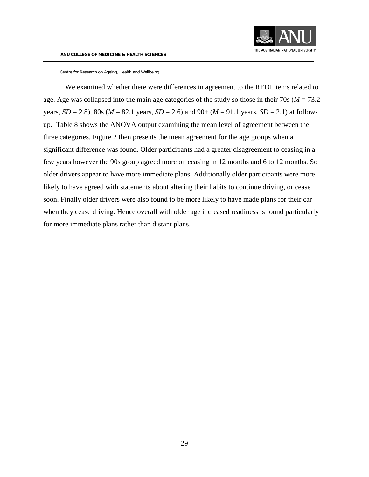

We examined whether there were differences in agreement to the REDI items related to age. Age was collapsed into the main age categories of the study so those in their 70s ( $M = 73.2$ ) years,  $SD = 2.8$ ),  $80s$  ( $M = 82.1$  years,  $SD = 2.6$ ) and  $90 + (M = 91.1$  years,  $SD = 2.1$ ) at followup. Table 8 shows the ANOVA output examining the mean level of agreement between the three categories. Figure 2 then presents the mean agreement for the age groups when a significant difference was found. Older participants had a greater disagreement to ceasing in a few years however the 90s group agreed more on ceasing in 12 months and 6 to 12 months. So older drivers appear to have more immediate plans. Additionally older participants were more likely to have agreed with statements about altering their habits to continue driving, or cease soon. Finally older drivers were also found to be more likely to have made plans for their car when they cease driving. Hence overall with older age increased readiness is found particularly for more immediate plans rather than distant plans.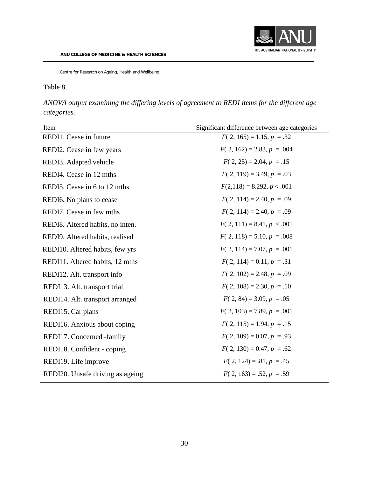

## Table 8.

*ANOVA output examining the differing levels of agreement to REDI items for the different age categories.*

| Item                             | Significant difference between age categories |
|----------------------------------|-----------------------------------------------|
| REDI1. Cease in future           | $F(2, 165) = 1.15, p = .32$                   |
| REDI2. Cease in few years        | $F(2, 162) = 2.83, p = .004$                  |
| REDI3. Adapted vehicle           | $F(2, 25) = 2.04, p = .15$                    |
| REDI4. Cease in 12 mths          | $F(2, 119) = 3.49, p = .03$                   |
| REDI5. Cease in 6 to 12 mths     | $F(2,118) = 8.292, p < .001$                  |
| REDI6. No plans to cease         | $F(2, 114) = 2.40, p = .09$                   |
| REDI7. Cease in few mths         | $F(2, 114) = 2.40, p = .09$                   |
| REDI8. Altered habits, no inten. | $F(2, 111) = 8.41, p < .001$                  |
| REDI9. Altered habits, realised  | $F(2, 118) = 5.10, p = .008$                  |
| REDI10. Altered habits, few yrs  | $F(2, 114) = 7.07, p = .001$                  |
| REDI11. Altered habits, 12 mths  | $F(2, 114) = 0.11, p = .31$                   |
| REDI12. Alt. transport info      | $F(2, 102) = 2.48, p = .09$                   |
| REDI13. Alt. transport trial     | $F(2, 108) = 2.30, p = .10$                   |
| REDI14. Alt. transport arranged  | $F(2, 84) = 3.09, p = .05$                    |
| REDI15. Car plans                | $F(2, 103) = 7.89, p = .001$                  |
| REDI16. Anxious about coping     | $F(2, 115) = 1.94, p = .15$                   |
| REDI17. Concerned -family        | $F(2, 109) = 0.07, p = .93$                   |
| REDI18. Confident - coping       | $F(2, 130) = 0.47, p = .62$                   |
| REDI19. Life improve             | $F(2, 124) = .81, p = .45$                    |
| REDI20. Unsafe driving as ageing | $F(2, 163) = .52, p = .59$                    |
|                                  |                                               |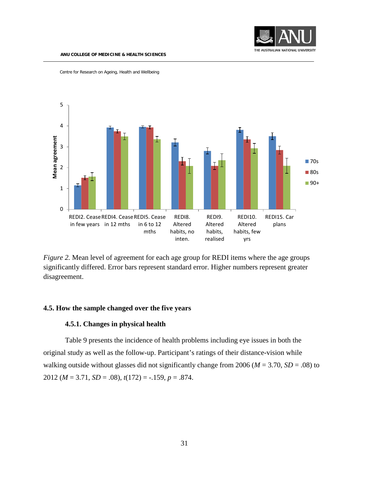



*Figure 2.* Mean level of agreement for each age group for REDI items where the age groups significantly differed. Error bars represent standard error. Higher numbers represent greater disagreement.

#### <span id="page-30-1"></span><span id="page-30-0"></span>**4.5. How the sample changed over the five years**

#### **4.5.1. Changes in physical health**

Table 9 presents the incidence of health problems including eye issues in both the original study as well as the follow-up. Participant's ratings of their distance-vision while walking outside without glasses did not significantly change from 2006 ( $M = 3.70$ ,  $SD = .08$ ) to 2012 (*M* = 3.71, *SD* = .08), *t*(172) = -.159, *p* = .874.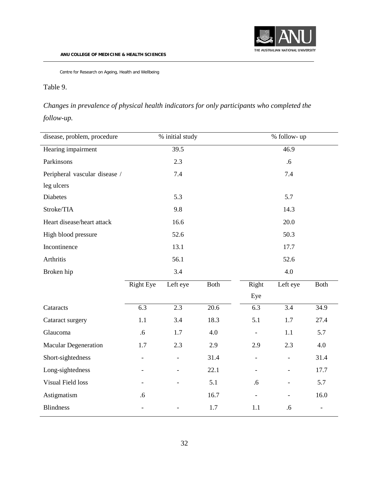

## Table 9.

*Changes in prevalence of physical health indicators for only participants who completed the follow-up.*

| disease, problem, procedure   | % initial study          |                          |             | % follow- up                 |                          |                   |  |
|-------------------------------|--------------------------|--------------------------|-------------|------------------------------|--------------------------|-------------------|--|
| Hearing impairment            | 39.5                     |                          |             |                              | 46.9                     |                   |  |
| Parkinsons                    |                          | 2.3                      |             |                              | .6                       |                   |  |
| Peripheral vascular disease / |                          | 7.4                      |             |                              | 7.4                      |                   |  |
| leg ulcers                    |                          |                          |             |                              |                          |                   |  |
| Diabetes                      | 5.3                      |                          |             |                              | 5.7                      |                   |  |
| Stroke/TIA                    | 9.8                      |                          |             |                              | 14.3                     |                   |  |
| Heart disease/heart attack    |                          | 16.6                     |             |                              | 20.0                     |                   |  |
| High blood pressure           |                          | 52.6                     |             |                              | 50.3                     |                   |  |
| Incontinence                  |                          | 13.1                     |             | 17.7                         |                          |                   |  |
| Arthritis                     |                          | 56.1                     |             | 52.6                         |                          |                   |  |
| Broken hip                    |                          | 3.4                      |             |                              |                          |                   |  |
|                               | <b>Right Eye</b>         | Left eye                 | <b>Both</b> | Right                        | Left eye                 | <b>Both</b>       |  |
|                               |                          |                          |             | Eye                          |                          |                   |  |
| Cataracts                     | $\overline{6.3}$         | 2.3                      | 20.6        | 6.3                          | 3.4                      | 34.9              |  |
| Cataract surgery              | 1.1                      | 3.4                      | 18.3        | 5.1                          | 1.7                      | 27.4              |  |
| Glaucoma                      | .6                       | 1.7                      | 4.0         | $\qquad \qquad \blacksquare$ | 1.1                      | 5.7               |  |
| <b>Macular Degeneration</b>   | 1.7                      | 2.3                      | 2.9         | 2.9                          | 2.3                      | 4.0               |  |
| Short-sightedness             | $\overline{\phantom{a}}$ | $\overline{\phantom{a}}$ | 31.4        | $\overline{\phantom{0}}$     | $\overline{\phantom{0}}$ | 31.4              |  |
| Long-sightedness              |                          |                          | 22.1        |                              | $\overline{\phantom{0}}$ | 17.7              |  |
| Visual Field loss             |                          |                          | 5.1         | .6                           | $\overline{\phantom{0}}$ | 5.7               |  |
| Astigmatism                   | .6                       |                          | 16.7        | $\overline{\phantom{a}}$     |                          | 16.0              |  |
| <b>Blindness</b>              |                          |                          | 1.7         | 1.1                          | .6                       | $\qquad \qquad -$ |  |
|                               |                          |                          |             |                              |                          |                   |  |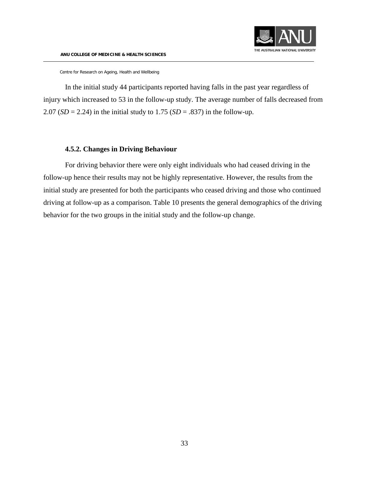

In the initial study 44 participants reported having falls in the past year regardless of injury which increased to 53 in the follow-up study. The average number of falls decreased from 2.07 (*SD* = 2.24) in the initial study to 1.75 (*SD* = .837) in the follow-up.

## **4.5.2. Changes in Driving Behaviour**

<span id="page-32-0"></span>For driving behavior there were only eight individuals who had ceased driving in the follow-up hence their results may not be highly representative. However, the results from the initial study are presented for both the participants who ceased driving and those who continued driving at follow-up as a comparison. Table 10 presents the general demographics of the driving behavior for the two groups in the initial study and the follow-up change.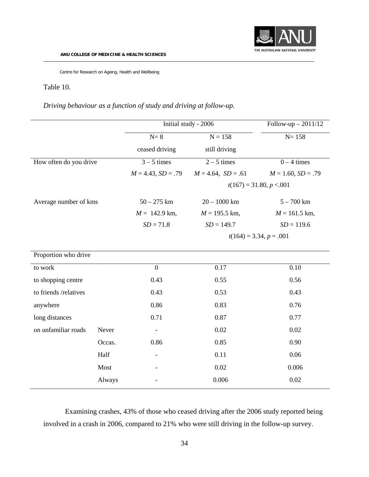

## Table 10.

*Driving behaviour as a function of study and driving at follow-up.*

|                        |        | Initial study - 2006               |                         | Follow-up $-2011/12$ |  |
|------------------------|--------|------------------------------------|-------------------------|----------------------|--|
|                        |        | $N = \overline{8}$                 | $N = 158$               | $N = 158$            |  |
|                        |        | ceased driving                     | still driving           |                      |  |
| How often do you drive |        | $3 - 5$ times<br>$2 - 5$ times     |                         | $0 - 4$ times        |  |
|                        |        | $M = 4.43$ , $SD = .79$            | $M = 4.64$ , $SD = .61$ | $M = 1.60, SD = .79$ |  |
|                        |        | $t(167) = 31.80, p < 0.001$        |                         |                      |  |
| Average number of kms  |        | $50 - 275$ km                      | $20 - 1000$ km          | $5 - 700$ km         |  |
|                        |        | $M = 142.9$ km,<br>$M = 195.5$ km, |                         | $M = 161.5$ km,      |  |
|                        |        | $SD = 71.8$                        | $SD = 149.7$            | $SD = 119.6$         |  |
|                        |        | $t(164) = 3.34, p = .001$          |                         |                      |  |
| Proportion who drive   |        |                                    |                         |                      |  |
| to work                |        | $\boldsymbol{0}$                   | 0.17                    | 0.10                 |  |
| to shopping centre     |        | 0.43                               | 0.55                    | 0.56                 |  |
| to friends /relatives  |        | 0.43                               | 0.53                    | 0.43                 |  |
| anywhere               |        | 0.86                               | 0.83                    | 0.76                 |  |
| long distances         |        | 0.71                               | 0.87                    | 0.77                 |  |
| on unfamiliar roads    | Never  |                                    | 0.02                    | 0.02                 |  |
|                        | Occas. | 0.86                               | 0.85                    | 0.90                 |  |
|                        | Half   |                                    | 0.11                    | 0.06                 |  |
|                        | Most   |                                    | 0.02                    | 0.006                |  |
|                        | Always |                                    | 0.006                   | 0.02                 |  |

Examining crashes, 43% of those who ceased driving after the 2006 study reported being involved in a crash in 2006, compared to 21% who were still driving in the follow-up survey.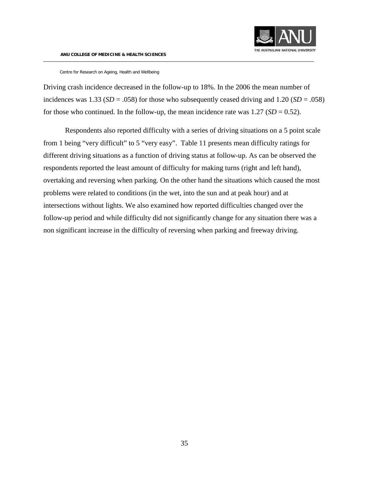

Driving crash incidence decreased in the follow-up to 18%. In the 2006 the mean number of incidences was 1.33 (*SD* = .058) for those who subsequently ceased driving and 1.20 (*SD* = .058) for those who continued. In the follow-up, the mean incidence rate was  $1.27$  (*SD* = 0.52).

Respondents also reported difficulty with a series of driving situations on a 5 point scale from 1 being "very difficult" to 5 "very easy". Table 11 presents mean difficulty ratings for different driving situations as a function of driving status at follow-up. As can be observed the respondents reported the least amount of difficulty for making turns (right and left hand), overtaking and reversing when parking. On the other hand the situations which caused the most problems were related to conditions (in the wet, into the sun and at peak hour) and at intersections without lights. We also examined how reported difficulties changed over the follow-up period and while difficulty did not significantly change for any situation there was a non significant increase in the difficulty of reversing when parking and freeway driving.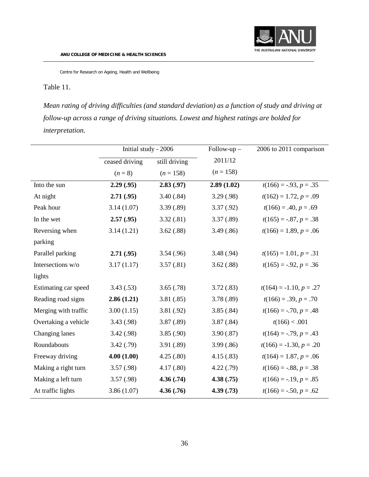

Table 11.

*Mean rating of driving difficulties (and standard deviation) as a function of study and driving at follow-up across a range of driving situations. Lowest and highest ratings are bolded for interpretation.*

|                      | Initial study - 2006 |               | $Follow-up -$ | 2006 to 2011 comparison   |
|----------------------|----------------------|---------------|---------------|---------------------------|
|                      | ceased driving       | still driving | 2011/12       |                           |
|                      | $(n=8)$              | $(n = 158)$   | $(n = 158)$   |                           |
| Into the sun         | 2.29(.95)            | 2.83(.97)     | 2.89(1.02)    | $t(166) = -.93, p = .35$  |
| At night             | 2.71(.95)            | 3.40(.84)     | 3.29(.98)     | $t(162) = 1.72, p = .09$  |
| Peak hour            | 3.14(1.07)           | 3.39(.89)     | 3.37(0.92)    | $t(166) = .40, p = .69$   |
| In the wet           | 2.57(.95)            | 3.32(.81)     | 3.37(.89)     | $t(165) = -.87, p = .38$  |
| Reversing when       | 3.14(1.21)           | 3.62(.88)     | 3.49(.86)     | $t(166) = 1.89, p = .06$  |
| parking              |                      |               |               |                           |
| Parallel parking     | 2.71(.95)            | 3.54(.96)     | 3.48(.94)     | $t(165) = 1.01, p = .31$  |
| Intersections w/o    | 3.17(1.17)           | 3.57(.81)     | 3.62(.88)     | $t(165) = -.92, p = .36$  |
| lights               |                      |               |               |                           |
| Estimating car speed | 3.43(.53)            | 3.65(.78)     | 3.72(.83)     | $t(164) = -1.10, p = .27$ |
| Reading road signs   | 2.86(1.21)           | 3.81(.85)     | 3.78(.89)     | $t(166) = .39, p = .70$   |
| Merging with traffic | 3.00(1.15)           | 3.81(.92)     | 3.85(.84)     | $t(166) = -.70, p = .48$  |
| Overtaking a vehicle | 3.43 (.98)           | 3.87(.89)     | 3.87(.84)     | t(166) < .001             |
| Changing lanes       | 3.42(.98)            | 3.85(.90)     | 3.90(.87)     | $t(164) = -.79, p = .43$  |
| Roundabouts          | 3.42(.79)            | 3.91 (.89)    | 3.99(.86)     | $t(166) = -1.30, p = .20$ |
| Freeway driving      | 4.00(1.00)           | 4.25(.80)     | 4.15(.83)     | $t(164) = 1.87, p = .06$  |
| Making a right turn  | 3.57(.98)            | 4.17(.80)     | 4.22(.79)     | $t(166) = -.88, p = .38$  |
| Making a left turn   | 3.57(0.98)           | 4.36(.74)     | 4.38(.75)     | $t(166) = -.19, p = .85$  |
| At traffic lights    | 3.86(1.07)           | 4.36(.76)     | 4.39(0.73)    | $t(166) = -.50, p = .62$  |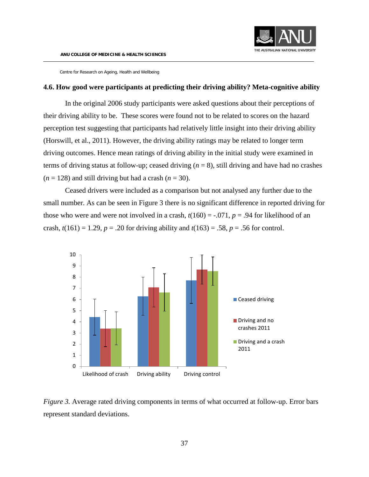

#### <span id="page-36-0"></span>**4.6. How good were participants at predicting their driving ability? Meta-cognitive ability**

In the original 2006 study participants were asked questions about their perceptions of their driving ability to be. These scores were found not to be related to scores on the hazard perception test suggesting that participants had relatively little insight into their driving ability [\(Horswill, et al., 2011\)](#page-53-11). However, the driving ability ratings may be related to longer term driving outcomes. Hence mean ratings of driving ability in the initial study were examined in terms of driving status at follow-up; ceased driving (*n* = 8), still driving and have had no crashes  $(n = 128)$  and still driving but had a crash  $(n = 30)$ .

Ceased drivers were included as a comparison but not analysed any further due to the small number. As can be seen in Figure 3 there is no significant difference in reported driving for those who were and were not involved in a crash,  $t(160) = -.071$ ,  $p = .94$  for likelihood of an crash,  $t(161) = 1.29$ ,  $p = .20$  for driving ability and  $t(163) = .58$ ,  $p = .56$  for control.



*Figure 3.* Average rated driving components in terms of what occurred at follow-up. Error bars represent standard deviations.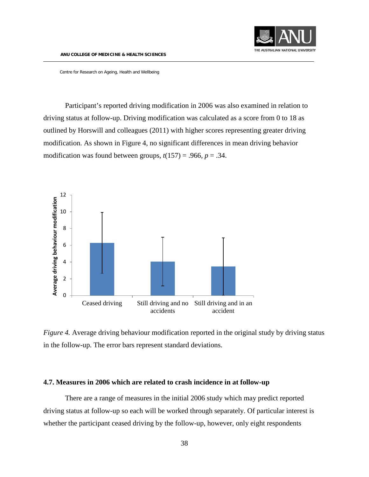

Participant's reported driving modification in 2006 was also examined in relation to driving status at follow-up. Driving modification was calculated as a score from 0 to 18 as outlined by Horswill and colleagues [\(2011\)](#page-53-11) with higher scores representing greater driving modification. As shown in Figure 4, no significant differences in mean driving behavior modification was found between groups,  $t(157) = .966$ ,  $p = .34$ .



*Figure 4.* Average driving behaviour modification reported in the original study by driving status in the follow-up. The error bars represent standard deviations.

#### <span id="page-37-0"></span>**4.7. Measures in 2006 which are related to crash incidence in at follow-up**

There are a range of measures in the initial 2006 study which may predict reported driving status at follow-up so each will be worked through separately. Of particular interest is whether the participant ceased driving by the follow-up, however, only eight respondents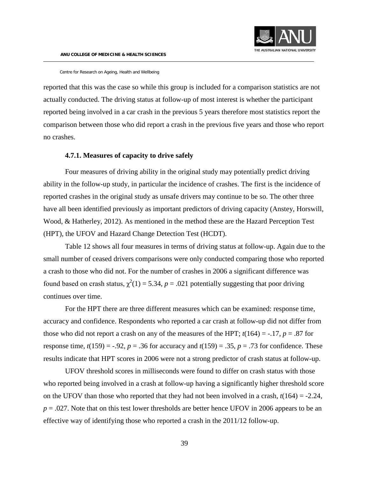

reported that this was the case so while this group is included for a comparison statistics are not actually conducted. The driving status at follow-up of most interest is whether the participant reported being involved in a car crash in the previous 5 years therefore most statistics report the comparison between those who did report a crash in the previous five years and those who report no crashes.

#### **4.7.1. Measures of capacity to drive safely**

<span id="page-38-0"></span>Four measures of driving ability in the original study may potentially predict driving ability in the follow-up study, in particular the incidence of crashes. The first is the incidence of reported crashes in the original study as unsafe drivers may continue to be so. The other three have all been identified previously as important predictors of driving capacity [\(Anstey, Horswill,](#page-52-12)  [Wood, & Hatherley, 2012\)](#page-52-12). As mentioned in the method these are the Hazard Perception Test (HPT), the UFOV and Hazard Change Detection Test (HCDT).

Table 12 shows all four measures in terms of driving status at follow-up. Again due to the small number of ceased drivers comparisons were only conducted comparing those who reported a crash to those who did not. For the number of crashes in 2006 a significant difference was found based on crash status,  $\chi^2(1) = 5.34$ ,  $p = .021$  potentially suggesting that poor driving continues over time.

For the HPT there are three different measures which can be examined: response time, accuracy and confidence. Respondents who reported a car crash at follow-up did not differ from those who did not report a crash on any of the measures of the HPT;  $t(164) = -0.17$ ,  $p = 0.87$  for response time,  $t(159) = -.92$ ,  $p = .36$  for accuracy and  $t(159) = .35$ ,  $p = .73$  for confidence. These results indicate that HPT scores in 2006 were not a strong predictor of crash status at follow-up.

UFOV threshold scores in milliseconds were found to differ on crash status with those who reported being involved in a crash at follow-up having a significantly higher threshold score on the UFOV than those who reported that they had not been involved in a crash,  $t(164) = -2.24$ , *p* = .027. Note that on this test lower thresholds are better hence UFOV in 2006 appears to be an effective way of identifying those who reported a crash in the 2011/12 follow-up.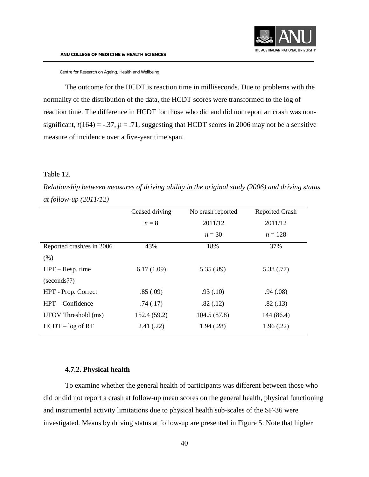The outcome for the HCDT is reaction time in milliseconds. Due to problems with the normality of the distribution of the data, the HCDT scores were transformed to the log of reaction time. The difference in HCDT for those who did and did not report an crash was nonsignificant,  $t(164) = -.37$ ,  $p = .71$ , suggesting that HCDT scores in 2006 may not be a sensitive measure of incidence over a five-year time span.

#### Table 12.

*Relationship between measures of driving ability in the original study (2006) and driving status at follow-up (2011/12)* 

|                           | Ceased driving | No crash reported | <b>Reported Crash</b> |  |
|---------------------------|----------------|-------------------|-----------------------|--|
|                           | $n=8$          | 2011/12           | 2011/12               |  |
|                           |                | $n=30$            | $n = 128$             |  |
| Reported crash/es in 2006 | 43%            | 18%               | 37%                   |  |
| (% )                      |                |                   |                       |  |
| $HPT - Resp.$ time        | 6.17(1.09)     | 5.35(.89)         | 5.38(.77)             |  |
| (seconds??)               |                |                   |                       |  |
| HPT - Prop. Correct       | .85(.09)       | .93(.10)          | .94(0.08)             |  |
| $HPT$ – Confidence        | .74(.17)       | .82(.12)          | .82(.13)              |  |
| UFOV Threshold (ms)       | 152.4 (59.2)   | 104.5(87.8)       | 144 (86.4)            |  |
| $HCDT - log of RT$        | 2.41(.22)      | 1.94(.28)         | 1.96(.22)             |  |
|                           |                |                   |                       |  |

## **4.7.2. Physical health**

<span id="page-39-0"></span>To examine whether the general health of participants was different between those who did or did not report a crash at follow-up mean scores on the general health, physical functioning and instrumental activity limitations due to physical health sub-scales of the SF-36 were investigated. Means by driving status at follow-up are presented in Figure 5. Note that higher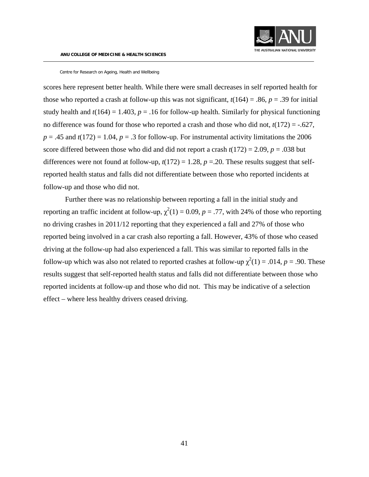

scores here represent better health. While there were small decreases in self reported health for those who reported a crash at follow-up this was not significant,  $t(164) = .86$ ,  $p = .39$  for initial study health and  $t(164) = 1.403$ ,  $p = .16$  for follow-up health. Similarly for physical functioning no difference was found for those who reported a crash and those who did not,  $t(172) = -.627$ ,  $p = .45$  and  $t(172) = 1.04$ ,  $p = .3$  for follow-up. For instrumental activity limitations the 2006 score differed between those who did and did not report a crash  $t(172) = 2.09$ ,  $p = .038$  but differences were not found at follow-up,  $t(172) = 1.28$ ,  $p = 0.20$ . These results suggest that selfreported health status and falls did not differentiate between those who reported incidents at follow-up and those who did not.

Further there was no relationship between reporting a fall in the initial study and reporting an traffic incident at follow-up,  $\chi^2(1) = 0.09$ ,  $p = .77$ , with 24% of those who reporting no driving crashes in 2011/12 reporting that they experienced a fall and 27% of those who reported being involved in a car crash also reporting a fall. However, 43% of those who ceased driving at the follow-up had also experienced a fall. This was similar to reported falls in the follow-up which was also not related to reported crashes at follow-up  $\chi^2(1) = .014$ ,  $p = .90$ . These results suggest that self-reported health status and falls did not differentiate between those who reported incidents at follow-up and those who did not. This may be indicative of a selection effect – where less healthy drivers ceased driving.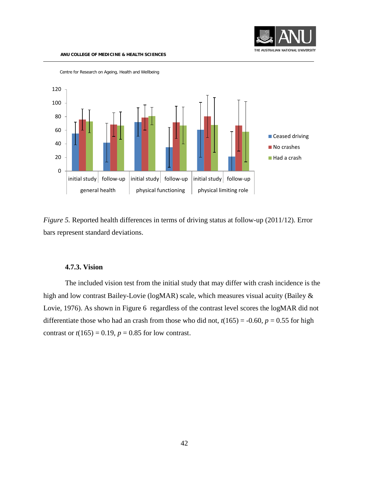



*Figure 5.* Reported health differences in terms of driving status at follow-up (2011/12). Error bars represent standard deviations.

#### **4.7.3. Vision**

<span id="page-41-0"></span>The included vision test from the initial study that may differ with crash incidence is the high and low contrast Bailey-Lovie (logMAR) scale, which measures visual acuity [\(Bailey &](#page-52-13)  [Lovie, 1976\)](#page-52-13). As shown in Figure 6 regardless of the contrast level scores the logMAR did not differentiate those who had an crash from those who did not,  $t(165) = -0.60$ ,  $p = 0.55$  for high contrast or  $t(165) = 0.19$ ,  $p = 0.85$  for low contrast.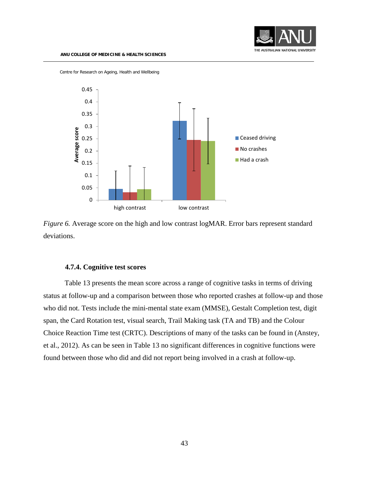



*Figure 6.* Average score on the high and low contrast logMAR. Error bars represent standard deviations.

#### **4.7.4. Cognitive test scores**

<span id="page-42-0"></span>Table 13 presents the mean score across a range of cognitive tasks in terms of driving status at follow-up and a comparison between those who reported crashes at follow-up and those who did not. Tests include the mini-mental state exam (MMSE), Gestalt Completion test, digit span, the Card Rotation test, visual search, Trail Making task (TA and TB) and the Colour Choice Reaction Time test (CRTC). Descriptions of many of the tasks can be found in [\(Anstey,](#page-52-12)  [et al., 2012\)](#page-52-12). As can be seen in Table 13 no significant differences in cognitive functions were found between those who did and did not report being involved in a crash at follow-up.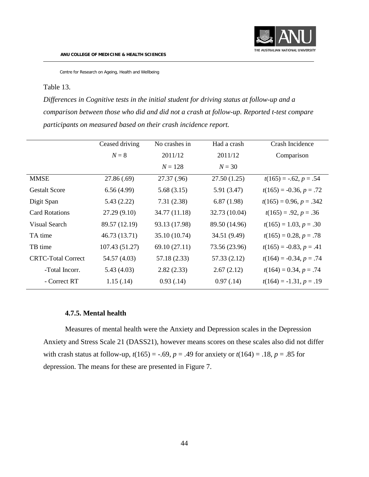

#### Table 13.

*Differences in Cognitive tests in the initial student for driving status at follow-up and a comparison between those who did and did not a crash at follow-up. Reported t-test compare participants on measured based on their crash incidence report.*

|                           | Ceased driving | No crashes in | Had a crash   | Crash Incidence           |
|---------------------------|----------------|---------------|---------------|---------------------------|
|                           | $N=8$          | 2011/12       | 2011/12       | Comparison                |
|                           |                | $N = 128$     | $N = 30$      |                           |
| <b>MMSE</b>               | 27.86(.69)     | 27.37 (.96)   | 27.50(1.25)   | $t(165) = -.62, p = .54$  |
| <b>Gestalt Score</b>      | 6.56(4.99)     | 5.68(3.15)    | 5.91 (3.47)   | $t(165) = -0.36, p = .72$ |
| Digit Span                | 5.43(2.22)     | 7.31(2.38)    | 6.87(1.98)    | $t(165) = 0.96, p = .342$ |
| <b>Card Rotations</b>     | 27.29(9.10)    | 34.77 (11.18) | 32.73 (10.04) | $t(165) = .92, p = .36$   |
| Visual Search             | 89.57 (12.19)  | 93.13 (17.98) | 89.50 (14.96) | $t(165) = 1.03, p = .30$  |
| TA time                   | 46.73 (13.71)  | 35.10 (10.74) | 34.51 (9.49)  | $t(165) = 0.28, p = .78$  |
| TB time                   | 107.43 (51.27) | 69.10 (27.11) | 73.56 (23.96) | $t(165) = -0.83, p = .41$ |
| <b>CRTC-Total Correct</b> | 54.57 (4.03)   | 57.18 (2.33)  | 57.33 (2.12)  | $t(164) = -0.34, p = .74$ |
| -Total Incorr.            | 5.43(4.03)     | 2.82(2.33)    | 2.67(2.12)    | $t(164) = 0.34, p = .74$  |
| - Correct RT              | 1.15(.14)      | 0.93(0.14)    | 0.97(0.14)    | $t(164) = -1.31, p = .19$ |

#### **4.7.5. Mental health**

<span id="page-43-0"></span>Measures of mental health were the Anxiety and Depression scales in the Depression Anxiety and Stress Scale 21 (DASS21), however means scores on these scales also did not differ with crash status at follow-up,  $t(165) = -.69$ ,  $p = .49$  for anxiety or  $t(164) = .18$ ,  $p = .85$  for depression. The means for these are presented in Figure 7.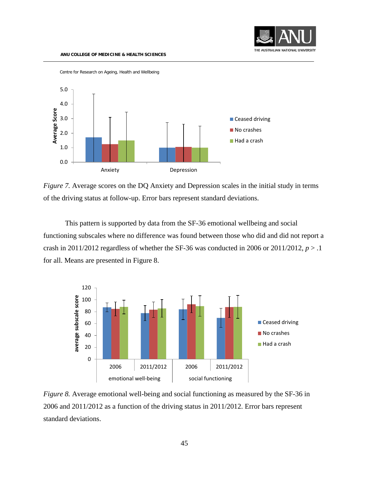



*Figure 7.* Average scores on the DQ Anxiety and Depression scales in the initial study in terms of the driving status at follow-up. Error bars represent standard deviations.

This pattern is supported by data from the SF-36 emotional wellbeing and social functioning subscales where no difference was found between those who did and did not report a crash in 2011/2012 regardless of whether the SF-36 was conducted in 2006 or 2011/2012,  $p > 0.1$ for all. Means are presented in Figure 8.



*Figure 8.* Average emotional well-being and social functioning as measured by the SF-36 in 2006 and 2011/2012 as a function of the driving status in 2011/2012. Error bars represent standard deviations.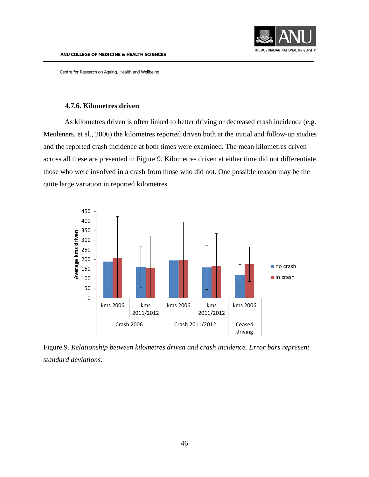

## **4.7.6. Kilometres driven**

<span id="page-45-0"></span>As kilometres driven is often linked to better driving or decreased crash incidence (e.g. [Meuleners, et al., 2006\)](#page-53-5) the kilometres reported driven both at the initial and follow-up studies and the reported crash incidence at both times were examined. The mean kilometres driven across all these are presented in Figure 9. Kilometres driven at either time did not differentiate those who were involved in a crash from those who did not. One possible reason may be the quite large variation in reported kilometres.



Figure 9. *Relationship between kilometres driven and crash incidence. Error bars represent standard deviations.*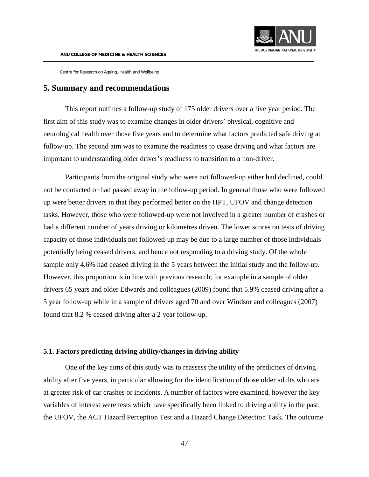

## <span id="page-46-0"></span>**5. Summary and recommendations**

This report outlines a follow-up study of 175 older drivers over a five year period. The first aim of this study was to examine changes in older drivers' physical, cognitive and neurological health over those five years and to determine what factors predicted safe driving at follow-up. The second aim was to examine the readiness to cease driving and what factors are important to understanding older driver's readiness to transition to a non-driver.

Participants from the original study who were not followed-up either had declined, could not be contacted or had passed away in the follow-up period. In general those who were followed up were better drivers in that they performed better on the HPT, UFOV and change detection tasks. However, those who were followed-up were not involved in a greater number of crashes or had a different number of years driving or kilometres driven. The lower scores on tests of driving capacity of those individuals not followed-up may be due to a large number of those individuals potentially being ceased drivers, and hence not responding to a driving study. Of the whole sample only 4.6% had ceased driving in the 5 years between the initial study and the follow-up. However, this proportion is in line with previous research; for example in a sample of older drivers 65 years and older Edwards and colleagues [\(2009\)](#page-52-11) found that 5.9% ceased driving after a 5 year follow-up while in a sample of drivers aged 70 and over Windsor and colleagues [\(2007\)](#page-54-7) found that 8.2 % ceased driving after a 2 year follow-up.

## <span id="page-46-1"></span>**5.1. Factors predicting driving ability/changes in driving ability**

One of the key aims of this study was to reassess the utility of the predictors of driving ability after five years, in particular allowing for the identification of those older adults who are at greater risk of car crashes or incidents. A number of factors were examined, however the key variables of interest were tests which have specifically been linked to driving ability in the past, the UFOV, the ACT Hazard Perception Test and a Hazard Change Detection Task. The outcome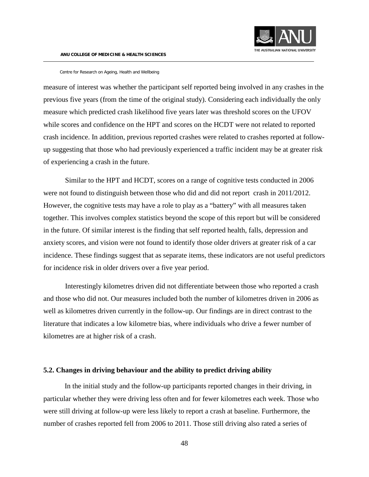

measure of interest was whether the participant self reported being involved in any crashes in the previous five years (from the time of the original study). Considering each individually the only measure which predicted crash likelihood five years later was threshold scores on the UFOV while scores and confidence on the HPT and scores on the HCDT were not related to reported crash incidence. In addition, previous reported crashes were related to crashes reported at followup suggesting that those who had previously experienced a traffic incident may be at greater risk of experiencing a crash in the future.

Similar to the HPT and HCDT, scores on a range of cognitive tests conducted in 2006 were not found to distinguish between those who did and did not report crash in 2011/2012. However, the cognitive tests may have a role to play as a "battery" with all measures taken together. This involves complex statistics beyond the scope of this report but will be considered in the future. Of similar interest is the finding that self reported health, falls, depression and anxiety scores, and vision were not found to identify those older drivers at greater risk of a car incidence. These findings suggest that as separate items, these indicators are not useful predictors for incidence risk in older drivers over a five year period.

Interestingly kilometres driven did not differentiate between those who reported a crash and those who did not. Our measures included both the number of kilometres driven in 2006 as well as kilometres driven currently in the follow-up. Our findings are in direct contrast to the literature that indicates a low kilometre bias, where individuals who drive a fewer number of kilometres are at higher risk of a crash.

#### <span id="page-47-0"></span>**5.2. Changes in driving behaviour and the ability to predict driving ability**

In the initial study and the follow-up participants reported changes in their driving, in particular whether they were driving less often and for fewer kilometres each week. Those who were still driving at follow-up were less likely to report a crash at baseline. Furthermore, the number of crashes reported fell from 2006 to 2011. Those still driving also rated a series of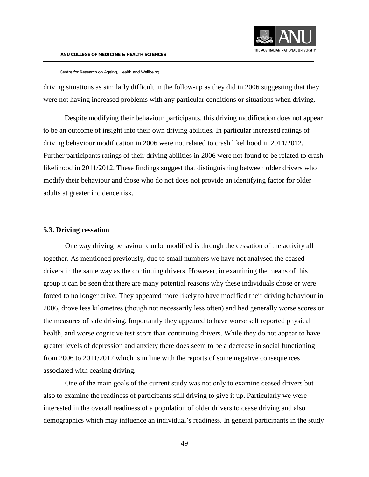

driving situations as similarly difficult in the follow-up as they did in 2006 suggesting that they were not having increased problems with any particular conditions or situations when driving.

Despite modifying their behaviour participants, this driving modification does not appear to be an outcome of insight into their own driving abilities. In particular increased ratings of driving behaviour modification in 2006 were not related to crash likelihood in 2011/2012. Further participants ratings of their driving abilities in 2006 were not found to be related to crash likelihood in 2011/2012. These findings suggest that distinguishing between older drivers who modify their behaviour and those who do not does not provide an identifying factor for older adults at greater incidence risk.

#### <span id="page-48-0"></span>**5.3. Driving cessation**

One way driving behaviour can be modified is through the cessation of the activity all together. As mentioned previously, due to small numbers we have not analysed the ceased drivers in the same way as the continuing drivers. However, in examining the means of this group it can be seen that there are many potential reasons why these individuals chose or were forced to no longer drive. They appeared more likely to have modified their driving behaviour in 2006, drove less kilometres (though not necessarily less often) and had generally worse scores on the measures of safe driving. Importantly they appeared to have worse self reported physical health, and worse cognitive test score than continuing drivers. While they do not appear to have greater levels of depression and anxiety there does seem to be a decrease in social functioning from 2006 to 2011/2012 which is in line with the reports of some negative consequences associated with ceasing driving.

One of the main goals of the current study was not only to examine ceased drivers but also to examine the readiness of participants still driving to give it up. Particularly we were interested in the overall readiness of a population of older drivers to cease driving and also demographics which may influence an individual's readiness. In general participants in the study

49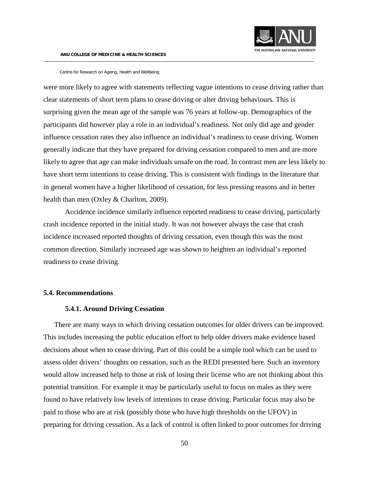

were more likely to agree with statements reflecting vague intentions to cease driving rather than clear statements of short term plans to cease driving or alter driving behaviours. This is surprising given the mean age of the sample was 76 years at follow-up. Demographics of the participants did however play a role in an individual's readiness. Not only did age and gender influence cessation rates they also influence an individual's readiness to cease driving. Women generally indicate that they have prepared for driving cessation compared to men and are more likely to agree that age can make individuals unsafe on the road. In contrast men are less likely to have short term intentions to cease driving. This is consistent with findings in the literature that in general women have a higher likelihood of cessation, for less pressing reasons and in better health than men [\(Oxley & Charlton, 2009\)](#page-54-6).

Accidence incidence similarly influence reported readiness to cease driving, particularly crash incidence reported in the initial study. It was not however always the case that crash incidence increased reported thoughts of driving cessation, even though this was the most common direction. Similarly increased age was shown to heighten an individual's reported readiness to cease driving.

#### <span id="page-49-1"></span><span id="page-49-0"></span>**5.4. Recommendations**

#### **5.4.1. Around Driving Cessation**

There are many ways in which driving cessation outcomes for older drivers can be improved. This includes increasing the public education effort to help older drivers make evidence based decisions about when to cease driving. Part of this could be a simple tool which can be used to assess older drivers' thoughts on cessation, such as the REDI presented here. Such an inventory would allow increased help to those at risk of losing their license who are not thinking about this potential transition. For example it may be particularly useful to focus on males as they were found to have relatively low levels of intentions to cease driving. Particular focus may also be paid to those who are at risk (possibly those who have high thresholds on the UFOV) in preparing for driving cessation. As a lack of control is often linked to poor outcomes for driving

50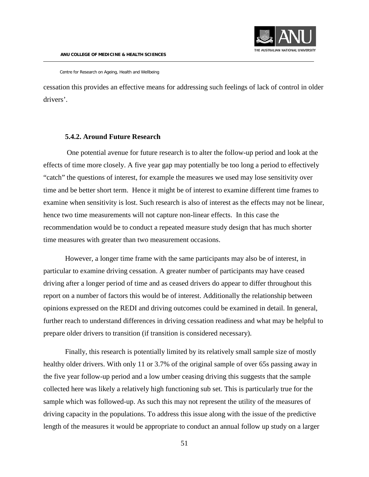

cessation this provides an effective means for addressing such feelings of lack of control in older drivers'.

#### **5.4.2. Around Future Research**

<span id="page-50-0"></span>One potential avenue for future research is to alter the follow-up period and look at the effects of time more closely. A five year gap may potentially be too long a period to effectively "catch" the questions of interest, for example the measures we used may lose sensitivity over time and be better short term. Hence it might be of interest to examine different time frames to examine when sensitivity is lost. Such research is also of interest as the effects may not be linear, hence two time measurements will not capture non-linear effects. In this case the recommendation would be to conduct a repeated measure study design that has much shorter time measures with greater than two measurement occasions.

However, a longer time frame with the same participants may also be of interest, in particular to examine driving cessation. A greater number of participants may have ceased driving after a longer period of time and as ceased drivers do appear to differ throughout this report on a number of factors this would be of interest. Additionally the relationship between opinions expressed on the REDI and driving outcomes could be examined in detail. In general, further reach to understand differences in driving cessation readiness and what may be helpful to prepare older drivers to transition (if transition is considered necessary).

Finally, this research is potentially limited by its relatively small sample size of mostly healthy older drivers. With only 11 or 3.7% of the original sample of over 65s passing away in the five year follow-up period and a low umber ceasing driving this suggests that the sample collected here was likely a relatively high functioning sub set. This is particularly true for the sample which was followed-up. As such this may not represent the utility of the measures of driving capacity in the populations. To address this issue along with the issue of the predictive length of the measures it would be appropriate to conduct an annual follow up study on a larger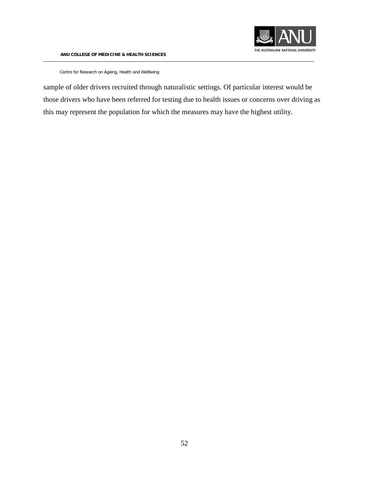

sample of older drivers recruited through naturalistic settings. Of particular interest would be those drivers who have been referred for testing due to health issues or concerns over driving as this may represent the population for which the measures may have the highest utility.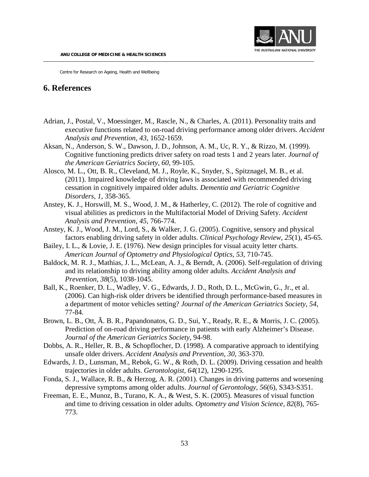

## <span id="page-52-0"></span>**6. References**

- <span id="page-52-3"></span>Adrian, J., Postal, V., Moessinger, M., Rascle, N., & Charles, A. (2011). Personality traits and executive functions related to on-road driving performance among older drivers. *Accident Analysis and Prevention, 43*, 1652-1659.
- <span id="page-52-5"></span>Aksan, N., Anderson, S. W., Dawson, J. D., Johnson, A. M., Uc, R. Y., & Rizzo, M. (1999). Cognitive functioning predicts driver safety on road tests 1 and 2 years later. *Journal of the American Geriatrics Society, 60*, 99-105.
- <span id="page-52-2"></span>Alosco, M. L., Ott, B. R., Cleveland, M. J., Royle, K., Snyder, S., Spitznagel, M. B., et al. (2011). Impaired knowledge of driving laws is associated with recommended driving cessation in cognitively impaired older adults. *Dementia and Geriatric Cognitive Disorders, 1*, 358-365.
- <span id="page-52-12"></span>Anstey, K. J., Horswill, M. S., Wood, J. M., & Hatherley, C. (2012). The role of cognitive and visual abilities as predictors in the Multifactorial Model of Driving Safety. *Accident Analysis and Prevention, 45*, 766-774.
- <span id="page-52-4"></span>Anstey, K. J., Wood, J. M., Lord, S., & Walker, J. G. (2005). Cognitive, sensory and physical factors enabling driving safety in older adults. *Clinical Psychology Review, 25*(1), 45-65.
- <span id="page-52-13"></span>Bailey, I. L., & Lovie, J. E. (1976). New design principles for visual acuity letter charts. *American Journal of Optometry and Physiological Optics, 53*, 710-745.
- <span id="page-52-8"></span>Baldock, M. R. J., Mathias, J. L., McLean, A. J., & Berndt, A. (2006). Self-regulation of driving and its relationship to driving ability among older adults. *Accident Analysis and Prevention, 38*(5), 1038-1045.
- <span id="page-52-6"></span>Ball, K., Roenker, D. L., Wadley, V. G., Edwards, J. D., Roth, D. L., McGwin, G., Jr., et al. (2006). Can high-risk older drivers be identified through performance-based measures in a department of motor vehicles setting? *Journal of the American Geriatrics Society, 54*, 77-84.
- <span id="page-52-7"></span>Brown, L. B., Ott, Ã. B. R., Papandonatos, G. D., Sui, Y., Ready, R. E., & Morris, J. C. (2005). Prediction of on-road driving performance in patients with early Alzheimer's Disease. *Journal of the American Geriatrics Society*, 94-98.
- <span id="page-52-1"></span>Dobbs, A. R., Heller, R. B., & Schopflocher, D. (1998). A comparative approach to identifying unsafe older drivers. *Accident Analysis and Prevention, 30*, 363-370.
- <span id="page-52-11"></span>Edwards, J. D., Lunsman, M., Rebok, G. W., & Roth, D. L. (2009). Driving cessation and health trajectories in older adults. *Gerontologist, 64*(12), 1290-1295.
- <span id="page-52-10"></span>Fonda, S. J., Wallace, R. B., & Herzog, A. R. (2001). Changes in driving patterns and worsening depressive symptoms among older adults. *Journal of Gerontology, 56*(6), S343-S351.
- <span id="page-52-9"></span>Freeman, E. E., Munoz, B., Turano, K. A., & West, S. K. (2005). Measures of visual function and time to driving cessation in older adults. *Optometry and Vision Science, 82*(8), 765- 773.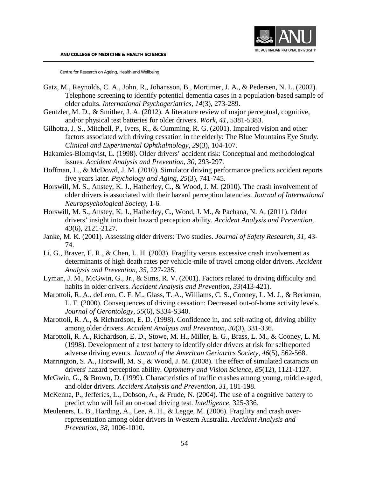

- <span id="page-53-14"></span>Gatz, M., Reynolds, C. A., John, R., Johansson, B., Mortimer, J. A., & Pedersen, N. L. (2002). Telephone screening to identify potential dementia cases in a population-based sample of older adults. *International Psychogeriatrics, 14*(3), 273-289.
- <span id="page-53-7"></span>Gentzler, M. D., & Smither, J. A. (2012). A literature review of major perceptual, cognitive, and/or physical test batteries for older drivers. *Work, 41*, 5381-5383.
- <span id="page-53-4"></span>Gilhotra, J. S., Mitchell, P., Ivers, R., & Cumming, R. G. (2001). Impaired vision and other factors associated with driving cessation in the elderly: The Blue Mountains Eye Study. *Clinical and Experimental Ophthalmology, 29*(3), 104-107.
- <span id="page-53-6"></span>Hakamies-Blomqvist, L. (1998). Older drivers' accident risk: Conceptual and methodological issues. *Accident Analysis and Prevention, 30*, 293-297.
- <span id="page-53-12"></span>Hoffman, L., & McDowd, J. M. (2010). Simulator driving performance predicts accident reports five years later. *Psychology and Aging, 25*(3), 741-745.
- <span id="page-53-15"></span>Horswill, M. S., Anstey, K. J., Hatherley, C., & Wood, J. M. (2010). The crash involvement of older drivers is associated with their hazard perception latencies. *Journal of International Neuropsychological Society*, 1-6.
- <span id="page-53-11"></span>Horswill, M. S., Anstey, K. J., Hatherley, C., Wood, J. M., & Pachana, N. A. (2011). Older drivers' insight into their hazard perception ability. *Accident Analysis and Prevention, 43*(6), 2121-2127.
- <span id="page-53-1"></span>Janke, M. K. (2001). Assessing older drivers: Two studies. *Journal of Safety Research, 31*, 43- 74.
- <span id="page-53-0"></span>Li, G., Braver, E. R., & Chen, L. H. (2003). Fragility versus excessive crash involvement as determinants of high death rates per vehicle-mile of travel among older drivers. *Accident Analysis and Prevention, 35*, 227-235.
- <span id="page-53-2"></span>Lyman, J. M., McGwin, G., Jr., & Sims, R. V. (2001). Factors related to driving difficulty and habits in older drivers. *Accident Analysis and Prevention, 33*(413-421).
- <span id="page-53-13"></span>Marottoli, R. A., deLeon, C. F. M., Glass, T. A., Williams, C. S., Cooney, L. M. J., & Berkman, L. F. (2000). Consequences of driving cessation: Decreased out-of-home activity levels. *Journal of Gerontology, 55*(6), S334-S340.
- <span id="page-53-10"></span>Marottoli, R. A., & Richardson, E. D. (1998). Confidence in, and self-rating of, driving ability among older drivers. *Accident Analysis and Prevention, 30*(3), 331-336.
- <span id="page-53-9"></span>Marottoli, R. A., Richardson, E. D., Stowe, M. H., Miller, E. G., Brass, L. M., & Cooney, L. M. (1998). Development of a test battery to identify older drivers at risk for selfreported adverse driving events. *Journal of the American Geriatrics Society, 46*(5), 562-568.
- <span id="page-53-16"></span>Marrington, S. A., Horswill, M. S., & Wood, J. M. (2008). The effect of simulated cataracts on drivers' hazard perception ability. *Optometry and Vision Science, 85*(12), 1121-1127.
- <span id="page-53-3"></span>McGwin, G., & Brown, D. (1999). Characteristics of traffic crashes among young, middle-aged, and older drivers. *Accident Analysis and Prevention, 31*, 181-198.
- <span id="page-53-8"></span>McKenna, P., Jefferies, L., Dobson, A., & Frude, N. (2004). The use of a cognitive battery to predict who will fail an on-road driving test. *Intelligence*, 325-336.
- <span id="page-53-5"></span>Meuleners, L. B., Harding, A., Lee, A. H., & Legge, M. (2006). Fragility and crash overrepresentation among older drivers in Western Australia. *Accident Analysis and Prevention, 38*, 1006-1010.